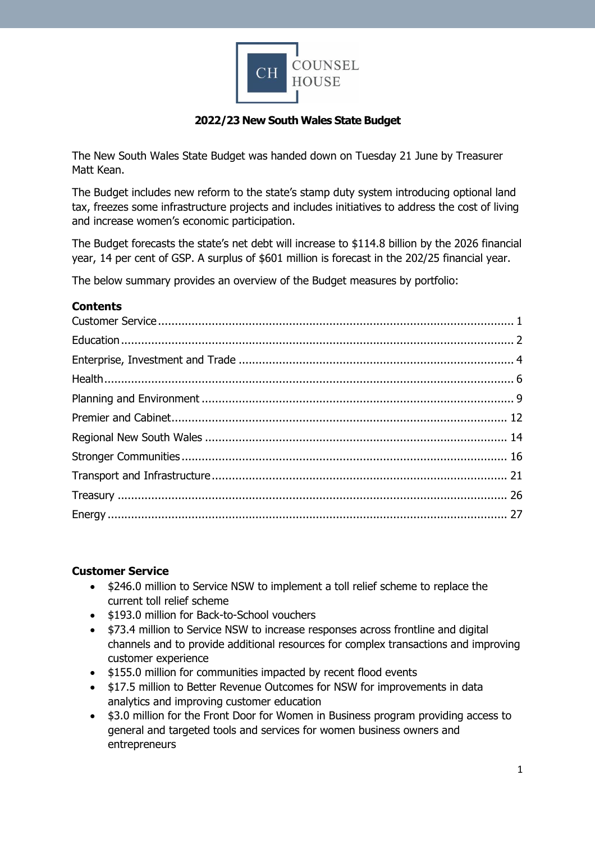

### **2022/23 New South Wales State Budget**

The New South Wales State Budget was handed down on Tuesday 21 June by Treasurer Matt Kean.

The Budget includes new reform to the state's stamp duty system introducing optional land tax, freezes some infrastructure projects and includes initiatives to address the cost of living and increase women's economic participation.

The Budget forecasts the state's net debt will increase to \$114.8 billion by the 2026 financial year, 14 per cent of GSP. A surplus of \$601 million is forecast in the 202/25 financial year.

The below summary provides an overview of the Budget measures by portfolio:

#### **Contents**

#### <span id="page-0-0"></span>**Customer Service**

- \$246.0 million to Service NSW to implement a toll relief scheme to replace the current toll relief scheme
- \$193.0 million for Back-to-School vouchers
- \$73.4 million to Service NSW to increase responses across frontline and digital channels and to provide additional resources for complex transactions and improving customer experience
- \$155.0 million for communities impacted by recent flood events
- \$17.5 million to Better Revenue Outcomes for NSW for improvements in data analytics and improving customer education
- \$3.0 million for the Front Door for Women in Business program providing access to general and targeted tools and services for women business owners and entrepreneurs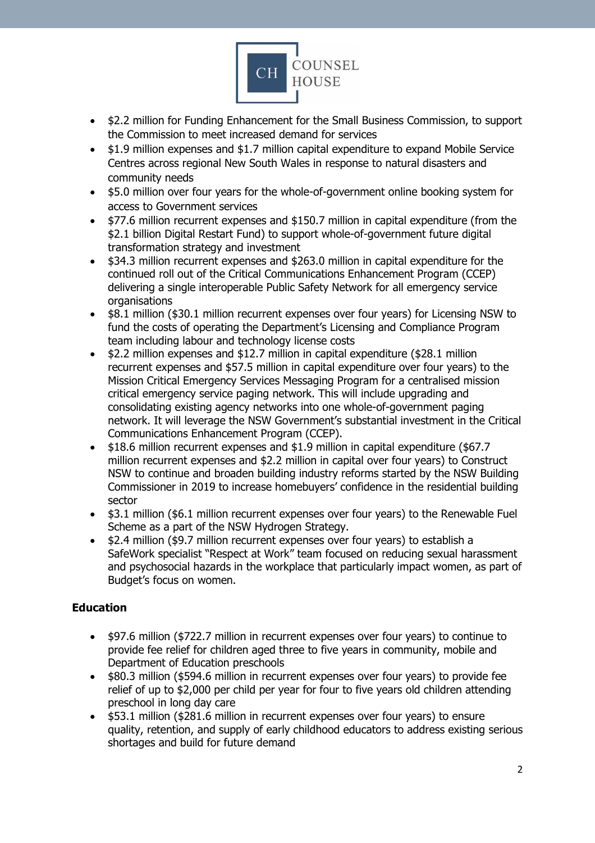

- \$2.2 million for Funding Enhancement for the Small Business Commission, to support the Commission to meet increased demand for services
- \$1.9 million expenses and \$1.7 million capital expenditure to expand Mobile Service Centres across regional New South Wales in response to natural disasters and community needs
- \$5.0 million over four years for the whole-of-government online booking system for access to Government services
- \$77.6 million recurrent expenses and \$150.7 million in capital expenditure (from the \$2.1 billion Digital Restart Fund) to support whole-of-government future digital transformation strategy and investment
- \$34.3 million recurrent expenses and \$263.0 million in capital expenditure for the continued roll out of the Critical Communications Enhancement Program (CCEP) delivering a single interoperable Public Safety Network for all emergency service organisations
- \$8.1 million (\$30.1 million recurrent expenses over four years) for Licensing NSW to fund the costs of operating the Department's Licensing and Compliance Program team including labour and technology license costs
- \$2.2 million expenses and \$12.7 million in capital expenditure (\$28.1 million recurrent expenses and \$57.5 million in capital expenditure over four years) to the Mission Critical Emergency Services Messaging Program for a centralised mission critical emergency service paging network. This will include upgrading and consolidating existing agency networks into one whole-of-government paging network. It will leverage the NSW Government's substantial investment in the Critical Communications Enhancement Program (CCEP).
- \$18.6 million recurrent expenses and \$1.9 million in capital expenditure (\$67.7 million recurrent expenses and \$2.2 million in capital over four years) to Construct NSW to continue and broaden building industry reforms started by the NSW Building Commissioner in 2019 to increase homebuyers' confidence in the residential building sector
- \$3.1 million (\$6.1 million recurrent expenses over four years) to the Renewable Fuel Scheme as a part of the NSW Hydrogen Strategy.
- \$2.4 million (\$9.7 million recurrent expenses over four years) to establish a SafeWork specialist "Respect at Work" team focused on reducing sexual harassment and psychosocial hazards in the workplace that particularly impact women, as part of Budget's focus on women.

# <span id="page-1-0"></span>**Education**

- \$97.6 million (\$722.7 million in recurrent expenses over four years) to continue to provide fee relief for children aged three to five years in community, mobile and Department of Education preschools
- \$80.3 million (\$594.6 million in recurrent expenses over four years) to provide fee relief of up to \$2,000 per child per year for four to five years old children attending preschool in long day care
- \$53.1 million (\$281.6 million in recurrent expenses over four years) to ensure quality, retention, and supply of early childhood educators to address existing serious shortages and build for future demand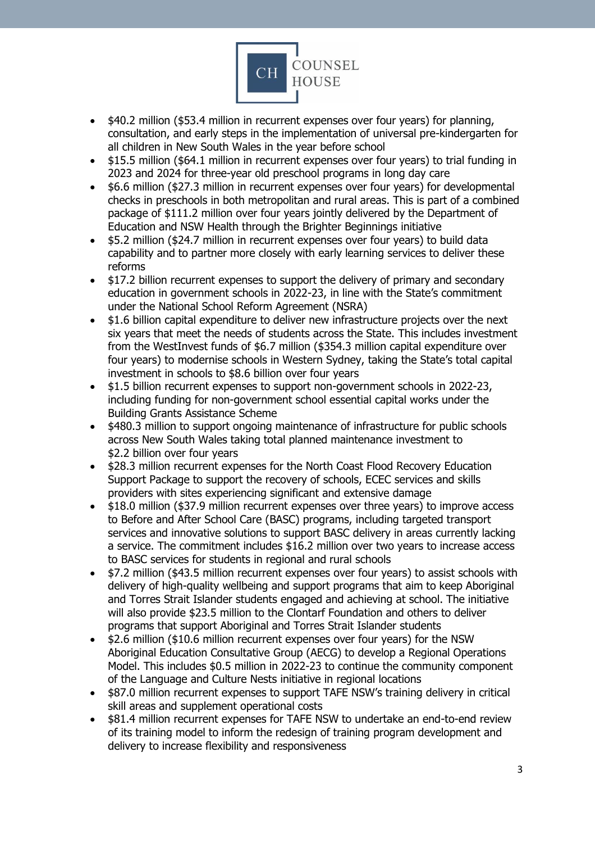

- \$40.2 million (\$53.4 million in recurrent expenses over four years) for planning, consultation, and early steps in the implementation of universal pre-kindergarten for all children in New South Wales in the year before school
- \$15.5 million (\$64.1 million in recurrent expenses over four years) to trial funding in 2023 and 2024 for three-year old preschool programs in long day care
- \$6.6 million (\$27.3 million in recurrent expenses over four years) for developmental checks in preschools in both metropolitan and rural areas. This is part of a combined package of \$111.2 million over four years jointly delivered by the Department of Education and NSW Health through the Brighter Beginnings initiative
- \$5.2 million (\$24.7 million in recurrent expenses over four years) to build data capability and to partner more closely with early learning services to deliver these reforms
- \$17.2 billion recurrent expenses to support the delivery of primary and secondary education in government schools in 2022-23, in line with the State's commitment under the National School Reform Agreement (NSRA)
- \$1.6 billion capital expenditure to deliver new infrastructure projects over the next six years that meet the needs of students across the State. This includes investment from the WestInvest funds of \$6.7 million (\$354.3 million capital expenditure over four years) to modernise schools in Western Sydney, taking the State's total capital investment in schools to \$8.6 billion over four years
- \$1.5 billion recurrent expenses to support non-government schools in 2022-23, including funding for non-government school essential capital works under the Building Grants Assistance Scheme
- \$480.3 million to support ongoing maintenance of infrastructure for public schools across New South Wales taking total planned maintenance investment to \$2.2 billion over four years
- \$28.3 million recurrent expenses for the North Coast Flood Recovery Education Support Package to support the recovery of schools, ECEC services and skills providers with sites experiencing significant and extensive damage
- \$18.0 million (\$37.9 million recurrent expenses over three years) to improve access to Before and After School Care (BASC) programs, including targeted transport services and innovative solutions to support BASC delivery in areas currently lacking a service. The commitment includes \$16.2 million over two years to increase access to BASC services for students in regional and rural schools
- \$7.2 million (\$43.5 million recurrent expenses over four years) to assist schools with delivery of high-quality wellbeing and support programs that aim to keep Aboriginal and Torres Strait Islander students engaged and achieving at school. The initiative will also provide \$23.5 million to the Clontarf Foundation and others to deliver programs that support Aboriginal and Torres Strait Islander students
- \$2.6 million (\$10.6 million recurrent expenses over four years) for the NSW Aboriginal Education Consultative Group (AECG) to develop a Regional Operations Model. This includes \$0.5 million in 2022-23 to continue the community component of the Language and Culture Nests initiative in regional locations
- \$87.0 million recurrent expenses to support TAFE NSW's training delivery in critical skill areas and supplement operational costs
- \$81.4 million recurrent expenses for TAFE NSW to undertake an end-to-end review of its training model to inform the redesign of training program development and delivery to increase flexibility and responsiveness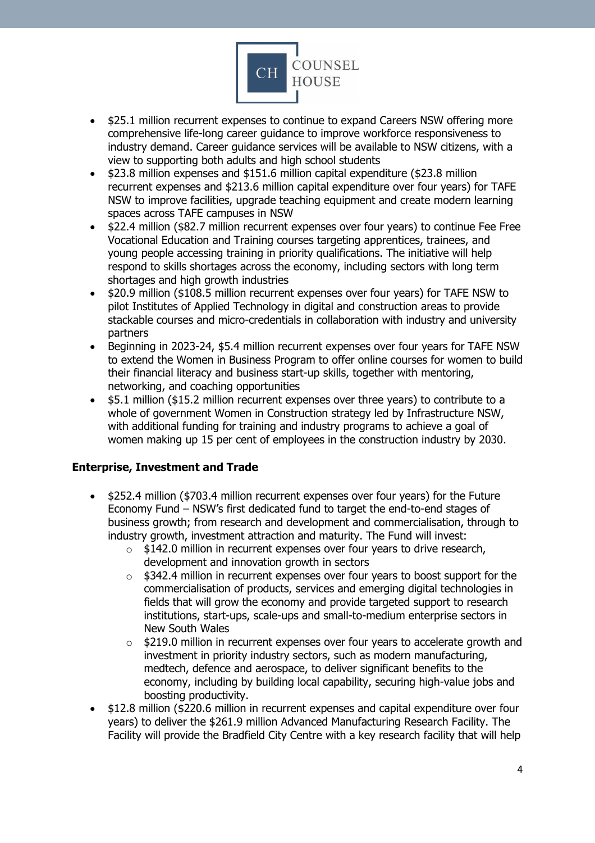

- \$25.1 million recurrent expenses to continue to expand Careers NSW offering more comprehensive life-long career guidance to improve workforce responsiveness to industry demand. Career guidance services will be available to NSW citizens, with a view to supporting both adults and high school students
- \$23.8 million expenses and \$151.6 million capital expenditure (\$23.8 million recurrent expenses and \$213.6 million capital expenditure over four years) for TAFE NSW to improve facilities, upgrade teaching equipment and create modern learning spaces across TAFE campuses in NSW
- \$22.4 million (\$82.7 million recurrent expenses over four years) to continue Fee Free Vocational Education and Training courses targeting apprentices, trainees, and young people accessing training in priority qualifications. The initiative will help respond to skills shortages across the economy, including sectors with long term shortages and high growth industries
- \$20.9 million (\$108.5 million recurrent expenses over four years) for TAFE NSW to pilot Institutes of Applied Technology in digital and construction areas to provide stackable courses and micro-credentials in collaboration with industry and university partners
- Beginning in 2023-24, \$5.4 million recurrent expenses over four years for TAFE NSW to extend the Women in Business Program to offer online courses for women to build their financial literacy and business start-up skills, together with mentoring, networking, and coaching opportunities
- \$5.1 million (\$15.2 million recurrent expenses over three years) to contribute to a whole of government Women in Construction strategy led by Infrastructure NSW, with additional funding for training and industry programs to achieve a goal of women making up 15 per cent of employees in the construction industry by 2030.

### <span id="page-3-0"></span>**Enterprise, Investment and Trade**

- \$252.4 million (\$703.4 million recurrent expenses over four years) for the Future Economy Fund – NSW's first dedicated fund to target the end-to-end stages of business growth; from research and development and commercialisation, through to industry growth, investment attraction and maturity. The Fund will invest:
	- o \$142.0 million in recurrent expenses over four years to drive research, development and innovation growth in sectors
	- $\circ$  \$342.4 million in recurrent expenses over four years to boost support for the commercialisation of products, services and emerging digital technologies in fields that will grow the economy and provide targeted support to research institutions, start-ups, scale-ups and small-to-medium enterprise sectors in New South Wales
	- o \$219.0 million in recurrent expenses over four years to accelerate growth and investment in priority industry sectors, such as modern manufacturing, medtech, defence and aerospace, to deliver significant benefits to the economy, including by building local capability, securing high-value jobs and boosting productivity.
- \$12.8 million (\$220.6 million in recurrent expenses and capital expenditure over four years) to deliver the \$261.9 million Advanced Manufacturing Research Facility. The Facility will provide the Bradfield City Centre with a key research facility that will help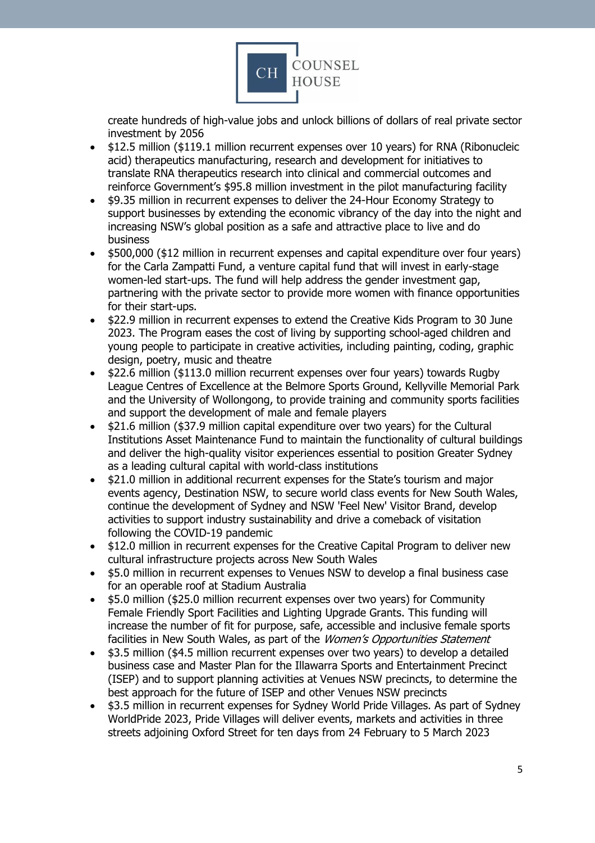

create hundreds of high-value jobs and unlock billions of dollars of real private sector investment by 2056

- \$12.5 million (\$119.1 million recurrent expenses over 10 years) for RNA (Ribonucleic acid) therapeutics manufacturing, research and development for initiatives to translate RNA therapeutics research into clinical and commercial outcomes and reinforce Government's \$95.8 million investment in the pilot manufacturing facility
- \$9.35 million in recurrent expenses to deliver the 24-Hour Economy Strategy to support businesses by extending the economic vibrancy of the day into the night and increasing NSW's global position as a safe and attractive place to live and do business
- \$500,000 (\$12 million in recurrent expenses and capital expenditure over four years) for the Carla Zampatti Fund, a venture capital fund that will invest in early-stage women-led start-ups. The fund will help address the gender investment gap, partnering with the private sector to provide more women with finance opportunities for their start-ups.
- \$22.9 million in recurrent expenses to extend the Creative Kids Program to 30 June 2023. The Program eases the cost of living by supporting school-aged children and young people to participate in creative activities, including painting, coding, graphic design, poetry, music and theatre
- \$22.6 million (\$113.0 million recurrent expenses over four years) towards Rugby League Centres of Excellence at the Belmore Sports Ground, Kellyville Memorial Park and the University of Wollongong, to provide training and community sports facilities and support the development of male and female players
- \$21.6 million (\$37.9 million capital expenditure over two years) for the Cultural Institutions Asset Maintenance Fund to maintain the functionality of cultural buildings and deliver the high-quality visitor experiences essential to position Greater Sydney as a leading cultural capital with world-class institutions
- \$21.0 million in additional recurrent expenses for the State's tourism and major events agency, Destination NSW, to secure world class events for New South Wales, continue the development of Sydney and NSW 'Feel New' Visitor Brand, develop activities to support industry sustainability and drive a comeback of visitation following the COVID-19 pandemic
- \$12.0 million in recurrent expenses for the Creative Capital Program to deliver new cultural infrastructure projects across New South Wales
- \$5.0 million in recurrent expenses to Venues NSW to develop a final business case for an operable roof at Stadium Australia
- \$5.0 million (\$25.0 million recurrent expenses over two years) for Community Female Friendly Sport Facilities and Lighting Upgrade Grants. This funding will increase the number of fit for purpose, safe, accessible and inclusive female sports facilities in New South Wales, as part of the Women's Opportunities Statement
- \$3.5 million (\$4.5 million recurrent expenses over two years) to develop a detailed business case and Master Plan for the Illawarra Sports and Entertainment Precinct (ISEP) and to support planning activities at Venues NSW precincts, to determine the best approach for the future of ISEP and other Venues NSW precincts
- \$3.5 million in recurrent expenses for Sydney World Pride Villages. As part of Sydney WorldPride 2023, Pride Villages will deliver events, markets and activities in three streets adjoining Oxford Street for ten days from 24 February to 5 March 2023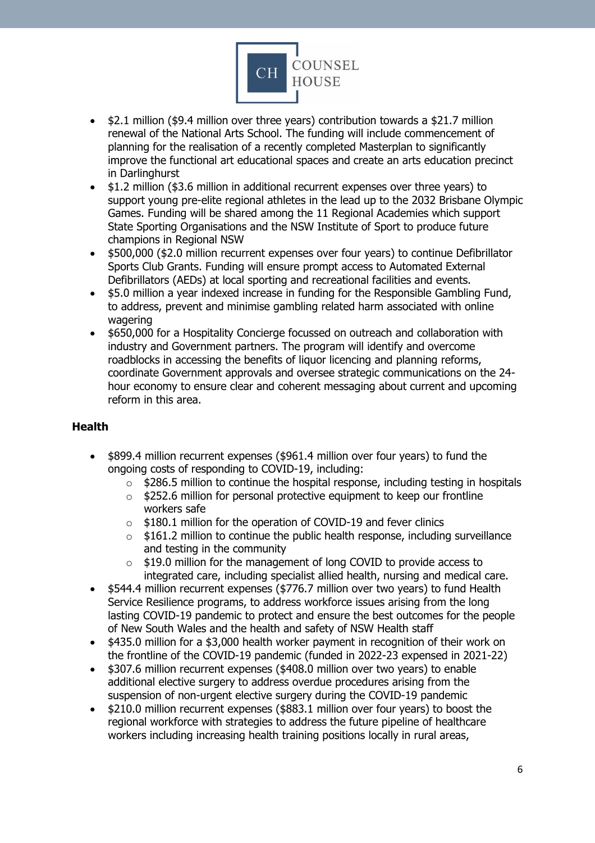

- \$2.1 million (\$9.4 million over three years) contribution towards a \$21.7 million renewal of the National Arts School. The funding will include commencement of planning for the realisation of a recently completed Masterplan to significantly improve the functional art educational spaces and create an arts education precinct in Darlinghurst
- \$1.2 million (\$3.6 million in additional recurrent expenses over three years) to support young pre-elite regional athletes in the lead up to the 2032 Brisbane Olympic Games. Funding will be shared among the 11 Regional Academies which support State Sporting Organisations and the NSW Institute of Sport to produce future champions in Regional NSW
- \$500,000 (\$2.0 million recurrent expenses over four years) to continue Defibrillator Sports Club Grants. Funding will ensure prompt access to Automated External Defibrillators (AEDs) at local sporting and recreational facilities and events.
- \$5.0 million a year indexed increase in funding for the Responsible Gambling Fund, to address, prevent and minimise gambling related harm associated with online wagering
- \$650,000 for a Hospitality Concierge focussed on outreach and collaboration with industry and Government partners. The program will identify and overcome roadblocks in accessing the benefits of liquor licencing and planning reforms, coordinate Government approvals and oversee strategic communications on the 24 hour economy to ensure clear and coherent messaging about current and upcoming reform in this area.

### <span id="page-5-0"></span>**Health**

- \$899.4 million recurrent expenses (\$961.4 million over four years) to fund the ongoing costs of responding to COVID-19, including:
	- $\circ$  \$286.5 million to continue the hospital response, including testing in hospitals
	- o \$252.6 million for personal protective equipment to keep our frontline workers safe
	- $\circ$  \$180.1 million for the operation of COVID-19 and fever clinics
	- $\circ$  \$161.2 million to continue the public health response, including surveillance and testing in the community
	- o \$19.0 million for the management of long COVID to provide access to integrated care, including specialist allied health, nursing and medical care.
- \$544.4 million recurrent expenses (\$776.7 million over two years) to fund Health Service Resilience programs, to address workforce issues arising from the long lasting COVID-19 pandemic to protect and ensure the best outcomes for the people of New South Wales and the health and safety of NSW Health staff
- \$435.0 million for a \$3,000 health worker payment in recognition of their work on the frontline of the COVID-19 pandemic (funded in 2022-23 expensed in 2021-22)
- \$307.6 million recurrent expenses (\$408.0 million over two years) to enable additional elective surgery to address overdue procedures arising from the suspension of non-urgent elective surgery during the COVID-19 pandemic
- \$210.0 million recurrent expenses (\$883.1 million over four years) to boost the regional workforce with strategies to address the future pipeline of healthcare workers including increasing health training positions locally in rural areas,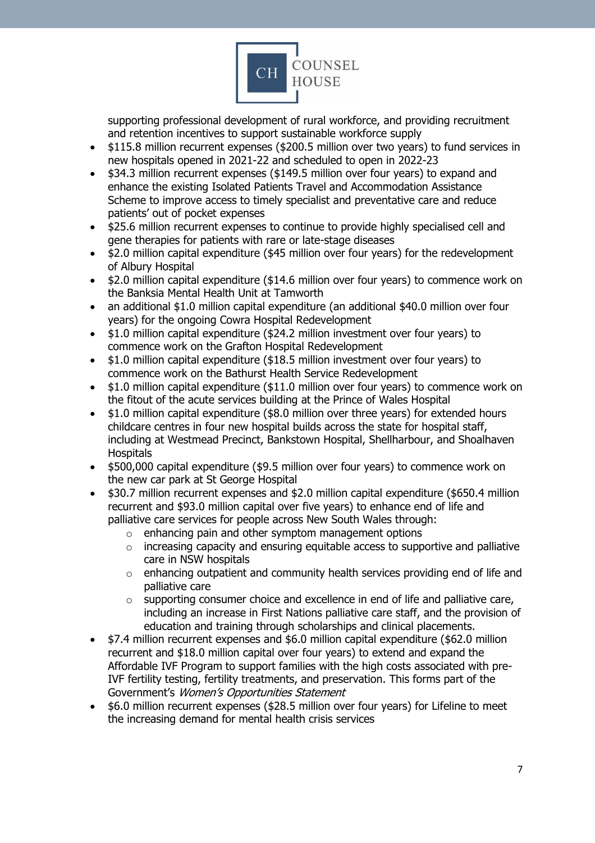

supporting professional development of rural workforce, and providing recruitment and retention incentives to support sustainable workforce supply

- \$115.8 million recurrent expenses (\$200.5 million over two years) to fund services in new hospitals opened in 2021-22 and scheduled to open in 2022-23
- \$34.3 million recurrent expenses (\$149.5 million over four years) to expand and enhance the existing Isolated Patients Travel and Accommodation Assistance Scheme to improve access to timely specialist and preventative care and reduce patients' out of pocket expenses
- \$25.6 million recurrent expenses to continue to provide highly specialised cell and gene therapies for patients with rare or late-stage diseases
- \$2.0 million capital expenditure (\$45 million over four years) for the redevelopment of Albury Hospital
- \$2.0 million capital expenditure (\$14.6 million over four years) to commence work on the Banksia Mental Health Unit at Tamworth
- an additional \$1.0 million capital expenditure (an additional \$40.0 million over four years) for the ongoing Cowra Hospital Redevelopment
- \$1.0 million capital expenditure (\$24.2 million investment over four years) to commence work on the Grafton Hospital Redevelopment
- \$1.0 million capital expenditure (\$18.5 million investment over four years) to commence work on the Bathurst Health Service Redevelopment
- \$1.0 million capital expenditure (\$11.0 million over four years) to commence work on the fitout of the acute services building at the Prince of Wales Hospital
- \$1.0 million capital expenditure (\$8.0 million over three years) for extended hours childcare centres in four new hospital builds across the state for hospital staff, including at Westmead Precinct, Bankstown Hospital, Shellharbour, and Shoalhaven Hospitals
- \$500,000 capital expenditure (\$9.5 million over four years) to commence work on the new car park at St George Hospital
- \$30.7 million recurrent expenses and \$2.0 million capital expenditure (\$650.4 million recurrent and \$93.0 million capital over five years) to enhance end of life and palliative care services for people across New South Wales through:
	- $\circ$  enhancing pain and other symptom management options
	- o increasing capacity and ensuring equitable access to supportive and palliative care in NSW hospitals
	- $\circ$  enhancing outpatient and community health services providing end of life and palliative care
	- o supporting consumer choice and excellence in end of life and palliative care, including an increase in First Nations palliative care staff, and the provision of education and training through scholarships and clinical placements.
- \$7.4 million recurrent expenses and \$6.0 million capital expenditure (\$62.0 million recurrent and \$18.0 million capital over four years) to extend and expand the Affordable IVF Program to support families with the high costs associated with pre-IVF fertility testing, fertility treatments, and preservation. This forms part of the Government's Women's Opportunities Statement
- \$6.0 million recurrent expenses (\$28.5 million over four years) for Lifeline to meet the increasing demand for mental health crisis services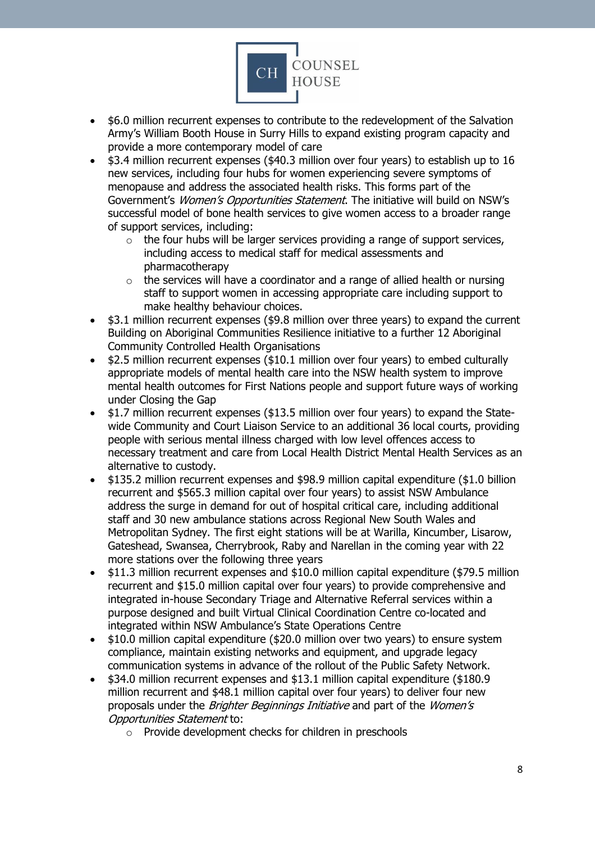

- \$6.0 million recurrent expenses to contribute to the redevelopment of the Salvation Army's William Booth House in Surry Hills to expand existing program capacity and provide a more contemporary model of care
- \$3.4 million recurrent expenses (\$40.3 million over four years) to establish up to 16 new services, including four hubs for women experiencing severe symptoms of menopause and address the associated health risks. This forms part of the Government's Women's Opportunities Statement. The initiative will build on NSW's successful model of bone health services to give women access to a broader range of support services, including:
	- $\circ$  the four hubs will be larger services providing a range of support services, including access to medical staff for medical assessments and pharmacotherapy
	- $\circ$  the services will have a coordinator and a range of allied health or nursing staff to support women in accessing appropriate care including support to make healthy behaviour choices.
- \$3.1 million recurrent expenses (\$9.8 million over three years) to expand the current Building on Aboriginal Communities Resilience initiative to a further 12 Aboriginal Community Controlled Health Organisations
- \$2.5 million recurrent expenses (\$10.1 million over four years) to embed culturally appropriate models of mental health care into the NSW health system to improve mental health outcomes for First Nations people and support future ways of working under Closing the Gap
- \$1.7 million recurrent expenses (\$13.5 million over four years) to expand the Statewide Community and Court Liaison Service to an additional 36 local courts, providing people with serious mental illness charged with low level offences access to necessary treatment and care from Local Health District Mental Health Services as an alternative to custody.
- \$135.2 million recurrent expenses and \$98.9 million capital expenditure (\$1.0 billion recurrent and \$565.3 million capital over four years) to assist NSW Ambulance address the surge in demand for out of hospital critical care, including additional staff and 30 new ambulance stations across Regional New South Wales and Metropolitan Sydney. The first eight stations will be at Warilla, Kincumber, Lisarow, Gateshead, Swansea, Cherrybrook, Raby and Narellan in the coming year with 22 more stations over the following three years
- \$11.3 million recurrent expenses and \$10.0 million capital expenditure (\$79.5 million recurrent and \$15.0 million capital over four years) to provide comprehensive and integrated in-house Secondary Triage and Alternative Referral services within a purpose designed and built Virtual Clinical Coordination Centre co-located and integrated within NSW Ambulance's State Operations Centre
- \$10.0 million capital expenditure (\$20.0 million over two years) to ensure system compliance, maintain existing networks and equipment, and upgrade legacy communication systems in advance of the rollout of the Public Safety Network.
- \$34.0 million recurrent expenses and \$13.1 million capital expenditure (\$180.9 million recurrent and \$48.1 million capital over four years) to deliver four new proposals under the *Brighter Beginnings Initiative* and part of the *Women's* Opportunities Statement to:
	- o Provide development checks for children in preschools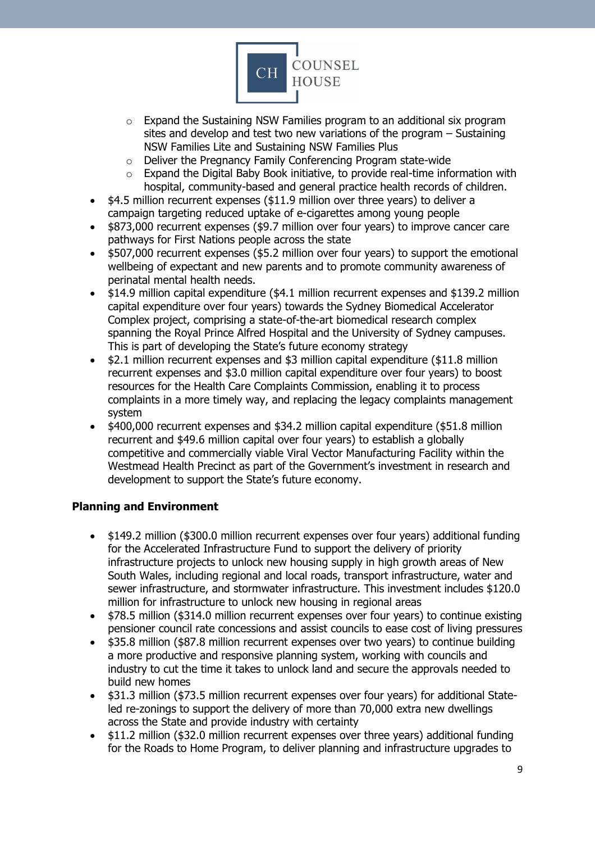

- $\circ$  Expand the Sustaining NSW Families program to an additional six program sites and develop and test two new variations of the program – Sustaining NSW Families Lite and Sustaining NSW Families Plus
- o Deliver the Pregnancy Family Conferencing Program state-wide
- o Expand the Digital Baby Book initiative, to provide real-time information with hospital, community-based and general practice health records of children.
- \$4.5 million recurrent expenses (\$11.9 million over three years) to deliver a campaign targeting reduced uptake of e-cigarettes among young people
- \$873,000 recurrent expenses (\$9.7 million over four years) to improve cancer care pathways for First Nations people across the state
- \$507,000 recurrent expenses (\$5.2 million over four years) to support the emotional wellbeing of expectant and new parents and to promote community awareness of perinatal mental health needs.
- \$14.9 million capital expenditure (\$4.1 million recurrent expenses and \$139.2 million capital expenditure over four years) towards the Sydney Biomedical Accelerator Complex project, comprising a state-of-the-art biomedical research complex spanning the Royal Prince Alfred Hospital and the University of Sydney campuses. This is part of developing the State's future economy strategy
- \$2.1 million recurrent expenses and \$3 million capital expenditure (\$11.8 million recurrent expenses and \$3.0 million capital expenditure over four years) to boost resources for the Health Care Complaints Commission, enabling it to process complaints in a more timely way, and replacing the legacy complaints management system
- \$400,000 recurrent expenses and \$34.2 million capital expenditure (\$51.8 million recurrent and \$49.6 million capital over four years) to establish a globally competitive and commercially viable Viral Vector Manufacturing Facility within the Westmead Health Precinct as part of the Government's investment in research and development to support the State's future economy.

### <span id="page-8-0"></span>**Planning and Environment**

- \$149.2 million (\$300.0 million recurrent expenses over four years) additional funding for the Accelerated Infrastructure Fund to support the delivery of priority infrastructure projects to unlock new housing supply in high growth areas of New South Wales, including regional and local roads, transport infrastructure, water and sewer infrastructure, and stormwater infrastructure. This investment includes \$120.0 million for infrastructure to unlock new housing in regional areas
- \$78.5 million (\$314.0 million recurrent expenses over four years) to continue existing pensioner council rate concessions and assist councils to ease cost of living pressures
- \$35.8 million (\$87.8 million recurrent expenses over two years) to continue building a more productive and responsive planning system, working with councils and industry to cut the time it takes to unlock land and secure the approvals needed to build new homes
- \$31.3 million (\$73.5 million recurrent expenses over four years) for additional Stateled re-zonings to support the delivery of more than 70,000 extra new dwellings across the State and provide industry with certainty
- \$11.2 million (\$32.0 million recurrent expenses over three years) additional funding for the Roads to Home Program, to deliver planning and infrastructure upgrades to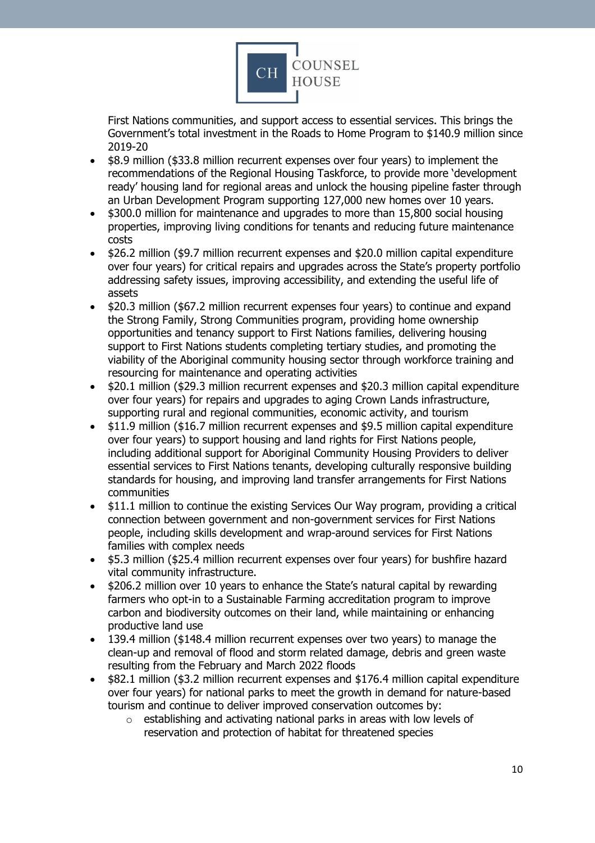

First Nations communities, and support access to essential services. This brings the Government's total investment in the Roads to Home Program to \$140.9 million since 2019-20

- \$8.9 million (\$33.8 million recurrent expenses over four years) to implement the recommendations of the Regional Housing Taskforce, to provide more 'development ready' housing land for regional areas and unlock the housing pipeline faster through an Urban Development Program supporting 127,000 new homes over 10 years.
- \$300.0 million for maintenance and upgrades to more than 15,800 social housing properties, improving living conditions for tenants and reducing future maintenance costs
- \$26.2 million (\$9.7 million recurrent expenses and \$20.0 million capital expenditure over four years) for critical repairs and upgrades across the State's property portfolio addressing safety issues, improving accessibility, and extending the useful life of assets
- \$20.3 million (\$67.2 million recurrent expenses four years) to continue and expand the Strong Family, Strong Communities program, providing home ownership opportunities and tenancy support to First Nations families, delivering housing support to First Nations students completing tertiary studies, and promoting the viability of the Aboriginal community housing sector through workforce training and resourcing for maintenance and operating activities
- \$20.1 million (\$29.3 million recurrent expenses and \$20.3 million capital expenditure over four years) for repairs and upgrades to aging Crown Lands infrastructure, supporting rural and regional communities, economic activity, and tourism
- \$11.9 million (\$16.7 million recurrent expenses and \$9.5 million capital expenditure over four years) to support housing and land rights for First Nations people, including additional support for Aboriginal Community Housing Providers to deliver essential services to First Nations tenants, developing culturally responsive building standards for housing, and improving land transfer arrangements for First Nations communities
- \$11.1 million to continue the existing Services Our Way program, providing a critical connection between government and non-government services for First Nations people, including skills development and wrap-around services for First Nations families with complex needs
- \$5.3 million (\$25.4 million recurrent expenses over four years) for bushfire hazard vital community infrastructure.
- \$206.2 million over 10 years to enhance the State's natural capital by rewarding farmers who opt-in to a Sustainable Farming accreditation program to improve carbon and biodiversity outcomes on their land, while maintaining or enhancing productive land use
- 139.4 million (\$148.4 million recurrent expenses over two years) to manage the clean-up and removal of flood and storm related damage, debris and green waste resulting from the February and March 2022 floods
- \$82.1 million (\$3.2 million recurrent expenses and \$176.4 million capital expenditure over four years) for national parks to meet the growth in demand for nature-based tourism and continue to deliver improved conservation outcomes by:
	- $\circ$  establishing and activating national parks in areas with low levels of reservation and protection of habitat for threatened species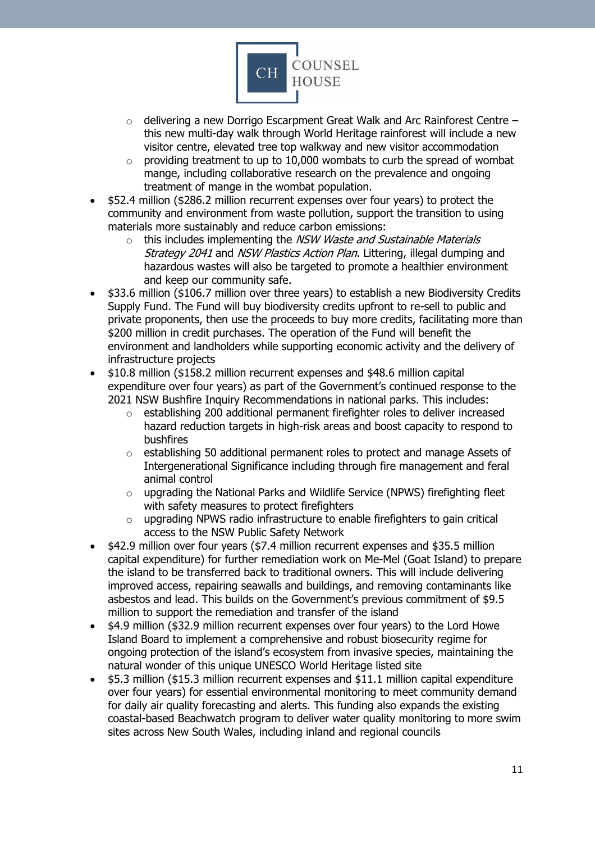

- $\circ$  delivering a new Dorrigo Escarpment Great Walk and Arc Rainforest Centre this new multi-day walk through World Heritage rainforest will include a new visitor centre, elevated tree top walkway and new visitor accommodation
- $\circ$  providing treatment to up to 10,000 wombats to curb the spread of wombat mange, including collaborative research on the prevalence and ongoing treatment of mange in the wombat population.
- \$52.4 million (\$286.2 million recurrent expenses over four years) to protect the community and environment from waste pollution, support the transition to using materials more sustainably and reduce carbon emissions:
	- $\circ$  this includes implementing the *NSW Waste and Sustainable Materials* Strategy 2041 and NSW Plastics Action Plan. Littering, illegal dumping and hazardous wastes will also be targeted to promote a healthier environment and keep our community safe.
- \$33.6 million (\$106.7 million over three years) to establish a new Biodiversity Credits Supply Fund. The Fund will buy biodiversity credits upfront to re-sell to public and private proponents, then use the proceeds to buy more credits, facilitating more than \$200 million in credit purchases. The operation of the Fund will benefit the environment and landholders while supporting economic activity and the delivery of infrastructure projects
- \$10.8 million (\$158.2 million recurrent expenses and \$48.6 million capital expenditure over four years) as part of the Government's continued response to the 2021 NSW Bushfire Inquiry Recommendations in national parks. This includes:
	- $\circ$  establishing 200 additional permanent firefighter roles to deliver increased hazard reduction targets in high-risk areas and boost capacity to respond to bushfires
	- $\circ$  establishing 50 additional permanent roles to protect and manage Assets of Intergenerational Significance including through fire management and feral animal control
	- o upgrading the National Parks and Wildlife Service (NPWS) firefighting fleet with safety measures to protect firefighters
	- o upgrading NPWS radio infrastructure to enable firefighters to gain critical access to the NSW Public Safety Network
- \$42.9 million over four years (\$7.4 million recurrent expenses and \$35.5 million capital expenditure) for further remediation work on Me-Mel (Goat Island) to prepare the island to be transferred back to traditional owners. This will include delivering improved access, repairing seawalls and buildings, and removing contaminants like asbestos and lead. This builds on the Government's previous commitment of \$9.5 million to support the remediation and transfer of the island
- \$4.9 million (\$32.9 million recurrent expenses over four years) to the Lord Howe Island Board to implement a comprehensive and robust biosecurity regime for ongoing protection of the island's ecosystem from invasive species, maintaining the natural wonder of this unique UNESCO World Heritage listed site
- \$5.3 million (\$15.3 million recurrent expenses and \$11.1 million capital expenditure over four years) for essential environmental monitoring to meet community demand for daily air quality forecasting and alerts. This funding also expands the existing coastal-based Beachwatch program to deliver water quality monitoring to more swim sites across New South Wales, including inland and regional councils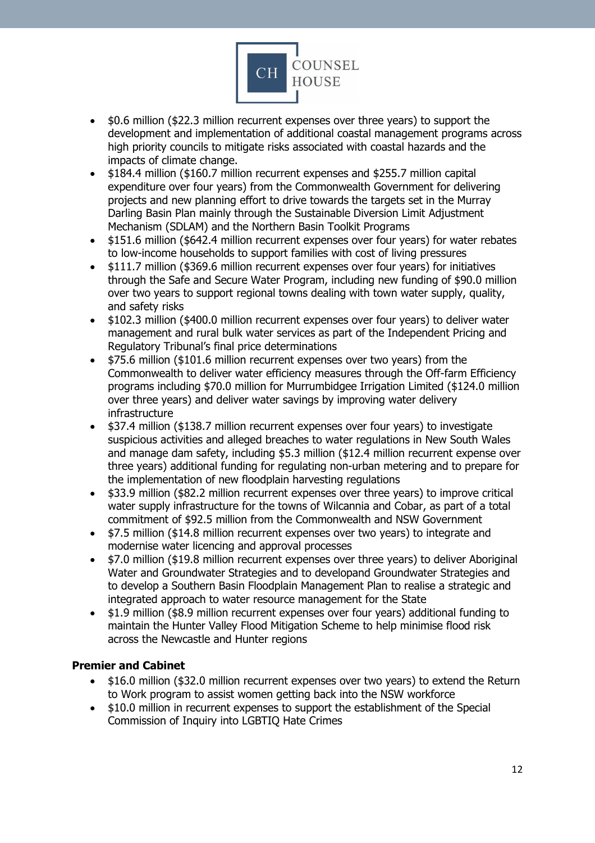

- \$0.6 million (\$22.3 million recurrent expenses over three years) to support the development and implementation of additional coastal management programs across high priority councils to mitigate risks associated with coastal hazards and the impacts of climate change.
- \$184.4 million (\$160.7 million recurrent expenses and \$255.7 million capital expenditure over four years) from the Commonwealth Government for delivering projects and new planning effort to drive towards the targets set in the Murray Darling Basin Plan mainly through the Sustainable Diversion Limit Adjustment Mechanism (SDLAM) and the Northern Basin Toolkit Programs
- \$151.6 million (\$642.4 million recurrent expenses over four years) for water rebates to low-income households to support families with cost of living pressures
- \$111.7 million (\$369.6 million recurrent expenses over four years) for initiatives through the Safe and Secure Water Program, including new funding of \$90.0 million over two years to support regional towns dealing with town water supply, quality, and safety risks
- \$102.3 million (\$400.0 million recurrent expenses over four years) to deliver water management and rural bulk water services as part of the Independent Pricing and Regulatory Tribunal's final price determinations
- \$75.6 million (\$101.6 million recurrent expenses over two years) from the Commonwealth to deliver water efficiency measures through the Off-farm Efficiency programs including \$70.0 million for Murrumbidgee Irrigation Limited (\$124.0 million over three years) and deliver water savings by improving water delivery infrastructure
- \$37.4 million (\$138.7 million recurrent expenses over four years) to investigate suspicious activities and alleged breaches to water regulations in New South Wales and manage dam safety, including \$5.3 million (\$12.4 million recurrent expense over three years) additional funding for regulating non-urban metering and to prepare for the implementation of new floodplain harvesting regulations
- \$33.9 million (\$82.2 million recurrent expenses over three years) to improve critical water supply infrastructure for the towns of Wilcannia and Cobar, as part of a total commitment of \$92.5 million from the Commonwealth and NSW Government
- \$7.5 million (\$14.8 million recurrent expenses over two years) to integrate and modernise water licencing and approval processes
- \$7.0 million (\$19.8 million recurrent expenses over three years) to deliver Aboriginal Water and Groundwater Strategies and to developand Groundwater Strategies and to develop a Southern Basin Floodplain Management Plan to realise a strategic and integrated approach to water resource management for the State
- \$1.9 million (\$8.9 million recurrent expenses over four years) additional funding to maintain the Hunter Valley Flood Mitigation Scheme to help minimise flood risk across the Newcastle and Hunter regions

# <span id="page-11-0"></span>**Premier and Cabinet**

- \$16.0 million (\$32.0 million recurrent expenses over two years) to extend the Return to Work program to assist women getting back into the NSW workforce
- \$10.0 million in recurrent expenses to support the establishment of the Special Commission of Inquiry into LGBTIQ Hate Crimes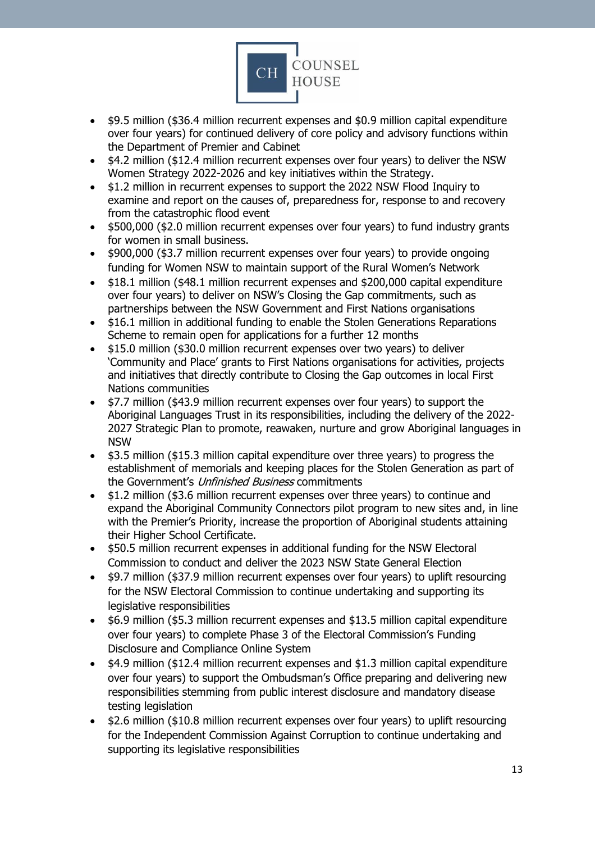

- \$9.5 million (\$36.4 million recurrent expenses and \$0.9 million capital expenditure over four years) for continued delivery of core policy and advisory functions within the Department of Premier and Cabinet
- \$4.2 million (\$12.4 million recurrent expenses over four years) to deliver the NSW Women Strategy 2022-2026 and key initiatives within the Strategy.
- \$1.2 million in recurrent expenses to support the 2022 NSW Flood Inquiry to examine and report on the causes of, preparedness for, response to and recovery from the catastrophic flood event
- \$500,000 (\$2.0 million recurrent expenses over four years) to fund industry grants for women in small business.
- \$900,000 (\$3.7 million recurrent expenses over four years) to provide ongoing funding for Women NSW to maintain support of the Rural Women's Network
- \$18.1 million (\$48.1 million recurrent expenses and \$200,000 capital expenditure over four years) to deliver on NSW's Closing the Gap commitments, such as partnerships between the NSW Government and First Nations organisations
- \$16.1 million in additional funding to enable the Stolen Generations Reparations Scheme to remain open for applications for a further 12 months
- \$15.0 million (\$30.0 million recurrent expenses over two years) to deliver 'Community and Place' grants to First Nations organisations for activities, projects and initiatives that directly contribute to Closing the Gap outcomes in local First Nations communities
- \$7.7 million (\$43.9 million recurrent expenses over four years) to support the Aboriginal Languages Trust in its responsibilities, including the delivery of the 2022- 2027 Strategic Plan to promote, reawaken, nurture and grow Aboriginal languages in NSW
- \$3.5 million (\$15.3 million capital expenditure over three years) to progress the establishment of memorials and keeping places for the Stolen Generation as part of the Government's Unfinished Business commitments
- \$1.2 million (\$3.6 million recurrent expenses over three years) to continue and expand the Aboriginal Community Connectors pilot program to new sites and, in line with the Premier's Priority, increase the proportion of Aboriginal students attaining their Higher School Certificate.
- \$50.5 million recurrent expenses in additional funding for the NSW Electoral Commission to conduct and deliver the 2023 NSW State General Election
- \$9.7 million (\$37.9 million recurrent expenses over four years) to uplift resourcing for the NSW Electoral Commission to continue undertaking and supporting its legislative responsibilities
- \$6.9 million (\$5.3 million recurrent expenses and \$13.5 million capital expenditure over four years) to complete Phase 3 of the Electoral Commission's Funding Disclosure and Compliance Online System
- \$4.9 million (\$12.4 million recurrent expenses and \$1.3 million capital expenditure over four years) to support the Ombudsman's Office preparing and delivering new responsibilities stemming from public interest disclosure and mandatory disease testing legislation
- \$2.6 million (\$10.8 million recurrent expenses over four years) to uplift resourcing for the Independent Commission Against Corruption to continue undertaking and supporting its legislative responsibilities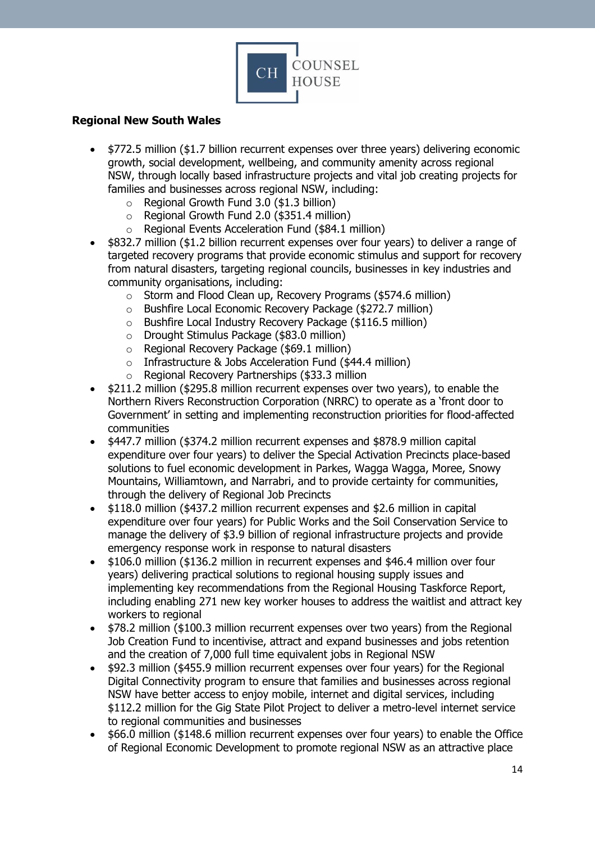

## <span id="page-13-0"></span>**Regional New South Wales**

- \$772.5 million (\$1.7 billion recurrent expenses over three years) delivering economic growth, social development, wellbeing, and community amenity across regional NSW, through locally based infrastructure projects and vital job creating projects for families and businesses across regional NSW, including:
	- o Regional Growth Fund 3.0 (\$1.3 billion)
	- o Regional Growth Fund 2.0 (\$351.4 million)
	- o Regional Events Acceleration Fund (\$84.1 million)
- \$832.7 million (\$1.2 billion recurrent expenses over four years) to deliver a range of targeted recovery programs that provide economic stimulus and support for recovery from natural disasters, targeting regional councils, businesses in key industries and community organisations, including:
	- o Storm and Flood Clean up, Recovery Programs (\$574.6 million)
	- o Bushfire Local Economic Recovery Package (\$272.7 million)
	- o Bushfire Local Industry Recovery Package (\$116.5 million)
	- o Drought Stimulus Package (\$83.0 million)
	- o Regional Recovery Package (\$69.1 million)
	- o Infrastructure & Jobs Acceleration Fund (\$44.4 million)
	- o Regional Recovery Partnerships (\$33.3 million
- \$211.2 million (\$295.8 million recurrent expenses over two years), to enable the Northern Rivers Reconstruction Corporation (NRRC) to operate as a 'front door to Government' in setting and implementing reconstruction priorities for flood-affected communities
- \$447.7 million (\$374.2 million recurrent expenses and \$878.9 million capital expenditure over four years) to deliver the Special Activation Precincts place-based solutions to fuel economic development in Parkes, Wagga Wagga, Moree, Snowy Mountains, Williamtown, and Narrabri, and to provide certainty for communities, through the delivery of Regional Job Precincts
- \$118.0 million (\$437.2 million recurrent expenses and \$2.6 million in capital expenditure over four years) for Public Works and the Soil Conservation Service to manage the delivery of \$3.9 billion of regional infrastructure projects and provide emergency response work in response to natural disasters
- \$106.0 million (\$136.2 million in recurrent expenses and \$46.4 million over four years) delivering practical solutions to regional housing supply issues and implementing key recommendations from the Regional Housing Taskforce Report, including enabling 271 new key worker houses to address the waitlist and attract key workers to regional
- \$78.2 million (\$100.3 million recurrent expenses over two years) from the Regional Job Creation Fund to incentivise, attract and expand businesses and jobs retention and the creation of 7,000 full time equivalent jobs in Regional NSW
- \$92.3 million (\$455.9 million recurrent expenses over four years) for the Regional Digital Connectivity program to ensure that families and businesses across regional NSW have better access to enjoy mobile, internet and digital services, including \$112.2 million for the Gig State Pilot Project to deliver a metro-level internet service to regional communities and businesses
- \$66.0 million (\$148.6 million recurrent expenses over four years) to enable the Office of Regional Economic Development to promote regional NSW as an attractive place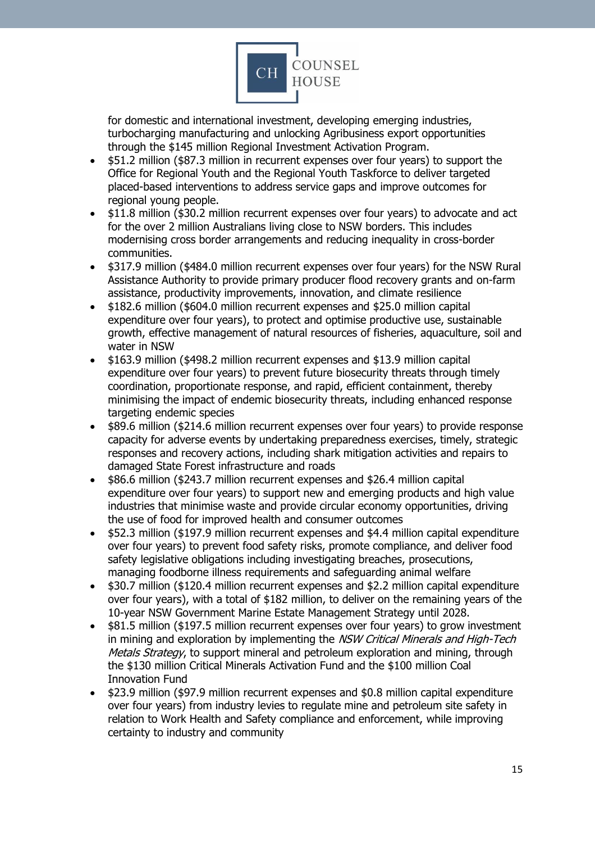

for domestic and international investment, developing emerging industries, turbocharging manufacturing and unlocking Agribusiness export opportunities through the \$145 million Regional Investment Activation Program.

- \$51.2 million (\$87.3 million in recurrent expenses over four years) to support the Office for Regional Youth and the Regional Youth Taskforce to deliver targeted placed-based interventions to address service gaps and improve outcomes for regional young people.
- \$11.8 million (\$30.2 million recurrent expenses over four years) to advocate and act for the over 2 million Australians living close to NSW borders. This includes modernising cross border arrangements and reducing inequality in cross-border communities.
- \$317.9 million (\$484.0 million recurrent expenses over four years) for the NSW Rural Assistance Authority to provide primary producer flood recovery grants and on-farm assistance, productivity improvements, innovation, and climate resilience
- \$182.6 million (\$604.0 million recurrent expenses and \$25.0 million capital expenditure over four years), to protect and optimise productive use, sustainable growth, effective management of natural resources of fisheries, aquaculture, soil and water in NSW
- \$163.9 million (\$498.2 million recurrent expenses and \$13.9 million capital expenditure over four years) to prevent future biosecurity threats through timely coordination, proportionate response, and rapid, efficient containment, thereby minimising the impact of endemic biosecurity threats, including enhanced response targeting endemic species
- \$89.6 million (\$214.6 million recurrent expenses over four years) to provide response capacity for adverse events by undertaking preparedness exercises, timely, strategic responses and recovery actions, including shark mitigation activities and repairs to damaged State Forest infrastructure and roads
- \$86.6 million (\$243.7 million recurrent expenses and \$26.4 million capital expenditure over four years) to support new and emerging products and high value industries that minimise waste and provide circular economy opportunities, driving the use of food for improved health and consumer outcomes
- \$52.3 million (\$197.9 million recurrent expenses and \$4.4 million capital expenditure over four years) to prevent food safety risks, promote compliance, and deliver food safety legislative obligations including investigating breaches, prosecutions, managing foodborne illness requirements and safeguarding animal welfare
- \$30.7 million (\$120.4 million recurrent expenses and \$2.2 million capital expenditure over four years), with a total of \$182 million, to deliver on the remaining years of the 10-year NSW Government Marine Estate Management Strategy until 2028.
- \$81.5 million (\$197.5 million recurrent expenses over four years) to grow investment in mining and exploration by implementing the NSW Critical Minerals and High-Tech Metals Strategy, to support mineral and petroleum exploration and mining, through the \$130 million Critical Minerals Activation Fund and the \$100 million Coal Innovation Fund
- \$23.9 million (\$97.9 million recurrent expenses and \$0.8 million capital expenditure over four years) from industry levies to regulate mine and petroleum site safety in relation to Work Health and Safety compliance and enforcement, while improving certainty to industry and community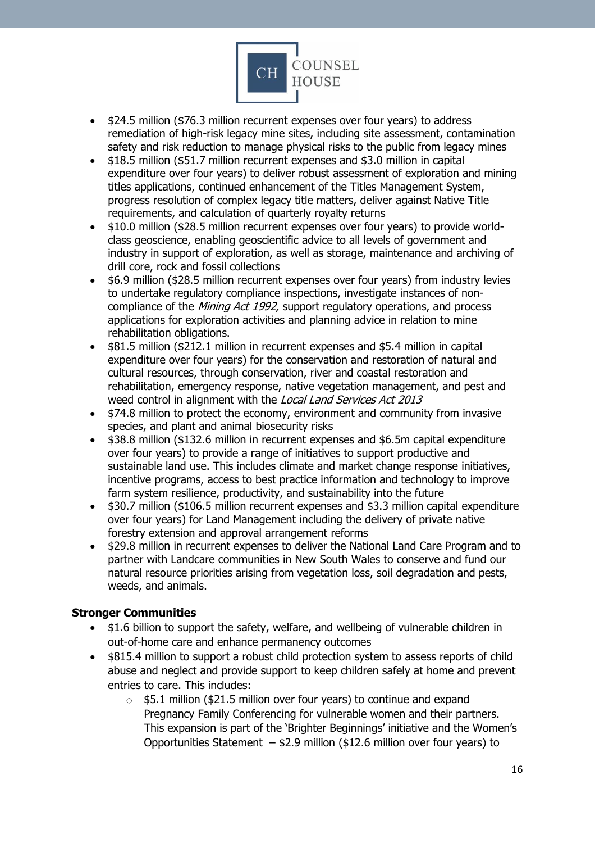

- \$24.5 million (\$76.3 million recurrent expenses over four years) to address remediation of high-risk legacy mine sites, including site assessment, contamination safety and risk reduction to manage physical risks to the public from legacy mines
- \$18.5 million (\$51.7 million recurrent expenses and \$3.0 million in capital expenditure over four years) to deliver robust assessment of exploration and mining titles applications, continued enhancement of the Titles Management System, progress resolution of complex legacy title matters, deliver against Native Title requirements, and calculation of quarterly royalty returns
- \$10.0 million (\$28.5 million recurrent expenses over four years) to provide worldclass geoscience, enabling geoscientific advice to all levels of government and industry in support of exploration, as well as storage, maintenance and archiving of drill core, rock and fossil collections
- \$6.9 million (\$28.5 million recurrent expenses over four years) from industry levies to undertake regulatory compliance inspections, investigate instances of noncompliance of the Mining Act 1992, support regulatory operations, and process applications for exploration activities and planning advice in relation to mine rehabilitation obligations.
- \$81.5 million (\$212.1 million in recurrent expenses and \$5.4 million in capital expenditure over four years) for the conservation and restoration of natural and cultural resources, through conservation, river and coastal restoration and rehabilitation, emergency response, native vegetation management, and pest and weed control in alignment with the Local Land Services Act 2013
- \$74.8 million to protect the economy, environment and community from invasive species, and plant and animal biosecurity risks
- \$38.8 million (\$132.6 million in recurrent expenses and \$6.5m capital expenditure over four years) to provide a range of initiatives to support productive and sustainable land use. This includes climate and market change response initiatives, incentive programs, access to best practice information and technology to improve farm system resilience, productivity, and sustainability into the future
- \$30.7 million (\$106.5 million recurrent expenses and \$3.3 million capital expenditure over four years) for Land Management including the delivery of private native forestry extension and approval arrangement reforms
- \$29.8 million in recurrent expenses to deliver the National Land Care Program and to partner with Landcare communities in New South Wales to conserve and fund our natural resource priorities arising from vegetation loss, soil degradation and pests, weeds, and animals.

# <span id="page-15-0"></span>**Stronger Communities**

- \$1.6 billion to support the safety, welfare, and wellbeing of vulnerable children in out-of-home care and enhance permanency outcomes
- \$815.4 million to support a robust child protection system to assess reports of child abuse and neglect and provide support to keep children safely at home and prevent entries to care. This includes:
	- $\circ$  \$5.1 million (\$21.5 million over four years) to continue and expand Pregnancy Family Conferencing for vulnerable women and their partners. This expansion is part of the 'Brighter Beginnings' initiative and the Women's Opportunities Statement – \$2.9 million (\$12.6 million over four years) to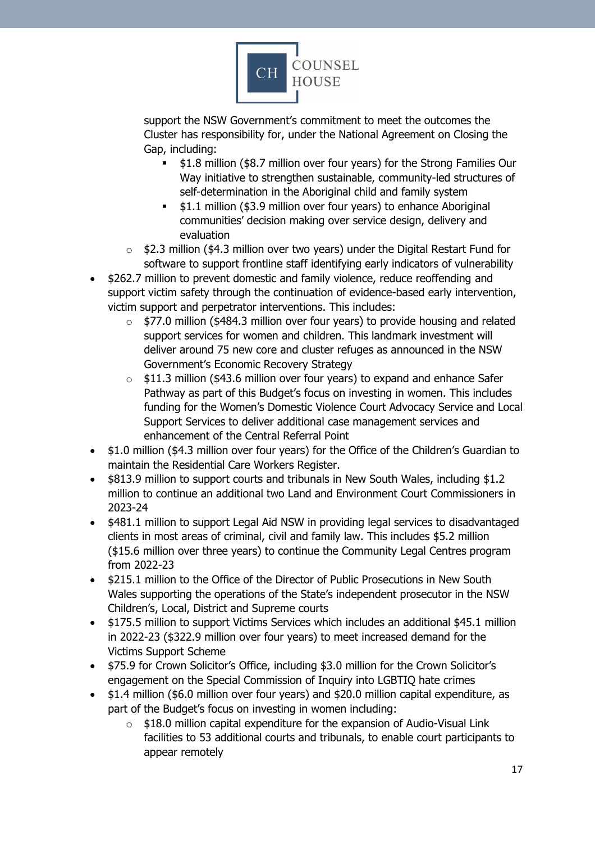

support the NSW Government's commitment to meet the outcomes the Cluster has responsibility for, under the National Agreement on Closing the Gap, including:

- \$1.8 million (\$8.7 million over four years) for the Strong Families Our Way initiative to strengthen sustainable, community-led structures of self-determination in the Aboriginal child and family system
- **.** \$1.1 million (\$3.9 million over four years) to enhance Aboriginal communities' decision making over service design, delivery and evaluation
- $\circ$  \$2.3 million (\$4.3 million over two years) under the Digital Restart Fund for software to support frontline staff identifying early indicators of vulnerability
- \$262.7 million to prevent domestic and family violence, reduce reoffending and support victim safety through the continuation of evidence-based early intervention, victim support and perpetrator interventions. This includes:
	- $\circ$  \$77.0 million (\$484.3 million over four years) to provide housing and related support services for women and children. This landmark investment will deliver around 75 new core and cluster refuges as announced in the NSW Government's Economic Recovery Strategy
	- o \$11.3 million (\$43.6 million over four years) to expand and enhance Safer Pathway as part of this Budget's focus on investing in women. This includes funding for the Women's Domestic Violence Court Advocacy Service and Local Support Services to deliver additional case management services and enhancement of the Central Referral Point
- \$1.0 million (\$4.3 million over four years) for the Office of the Children's Guardian to maintain the Residential Care Workers Register.
- \$813.9 million to support courts and tribunals in New South Wales, including \$1.2 million to continue an additional two Land and Environment Court Commissioners in 2023-24
- \$481.1 million to support Legal Aid NSW in providing legal services to disadvantaged clients in most areas of criminal, civil and family law. This includes \$5.2 million (\$15.6 million over three years) to continue the Community Legal Centres program from 2022-23
- \$215.1 million to the Office of the Director of Public Prosecutions in New South Wales supporting the operations of the State's independent prosecutor in the NSW Children's, Local, District and Supreme courts
- \$175.5 million to support Victims Services which includes an additional \$45.1 million in 2022-23 (\$322.9 million over four years) to meet increased demand for the Victims Support Scheme
- \$75.9 for Crown Solicitor's Office, including \$3.0 million for the Crown Solicitor's engagement on the Special Commission of Inquiry into LGBTIQ hate crimes
- \$1.4 million (\$6.0 million over four years) and \$20.0 million capital expenditure, as part of the Budget's focus on investing in women including:
	- o \$18.0 million capital expenditure for the expansion of Audio-Visual Link facilities to 53 additional courts and tribunals, to enable court participants to appear remotely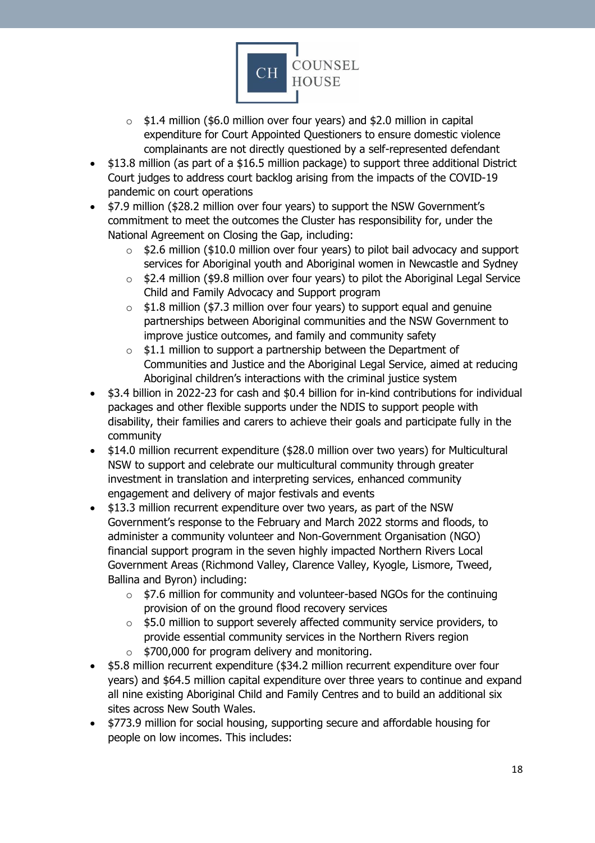

- $\circ$  \$1.4 million (\$6.0 million over four years) and \$2.0 million in capital expenditure for Court Appointed Questioners to ensure domestic violence complainants are not directly questioned by a self-represented defendant
- \$13.8 million (as part of a \$16.5 million package) to support three additional District Court judges to address court backlog arising from the impacts of the COVID-19 pandemic on court operations
- \$7.9 million (\$28.2 million over four years) to support the NSW Government's commitment to meet the outcomes the Cluster has responsibility for, under the National Agreement on Closing the Gap, including:
	- $\circ$  \$2.6 million (\$10.0 million over four years) to pilot bail advocacy and support services for Aboriginal youth and Aboriginal women in Newcastle and Sydney
	- o \$2.4 million (\$9.8 million over four years) to pilot the Aboriginal Legal Service Child and Family Advocacy and Support program
	- $\circ$  \$1.8 million (\$7.3 million over four years) to support equal and genuine partnerships between Aboriginal communities and the NSW Government to improve justice outcomes, and family and community safety
	- $\circ$  \$1.1 million to support a partnership between the Department of Communities and Justice and the Aboriginal Legal Service, aimed at reducing Aboriginal children's interactions with the criminal justice system
- \$3.4 billion in 2022-23 for cash and \$0.4 billion for in-kind contributions for individual packages and other flexible supports under the NDIS to support people with disability, their families and carers to achieve their goals and participate fully in the community
- \$14.0 million recurrent expenditure (\$28.0 million over two years) for Multicultural NSW to support and celebrate our multicultural community through greater investment in translation and interpreting services, enhanced community engagement and delivery of major festivals and events
- \$13.3 million recurrent expenditure over two years, as part of the NSW Government's response to the February and March 2022 storms and floods, to administer a community volunteer and Non-Government Organisation (NGO) financial support program in the seven highly impacted Northern Rivers Local Government Areas (Richmond Valley, Clarence Valley, Kyogle, Lismore, Tweed, Ballina and Byron) including:
	- o \$7.6 million for community and volunteer-based NGOs for the continuing provision of on the ground flood recovery services
	- $\circ$  \$5.0 million to support severely affected community service providers, to provide essential community services in the Northern Rivers region  $\circ$  \$700,000 for program delivery and monitoring.
- \$5.8 million recurrent expenditure (\$34.2 million recurrent expenditure over four years) and \$64.5 million capital expenditure over three years to continue and expand all nine existing Aboriginal Child and Family Centres and to build an additional six sites across New South Wales.
- \$773.9 million for social housing, supporting secure and affordable housing for people on low incomes. This includes: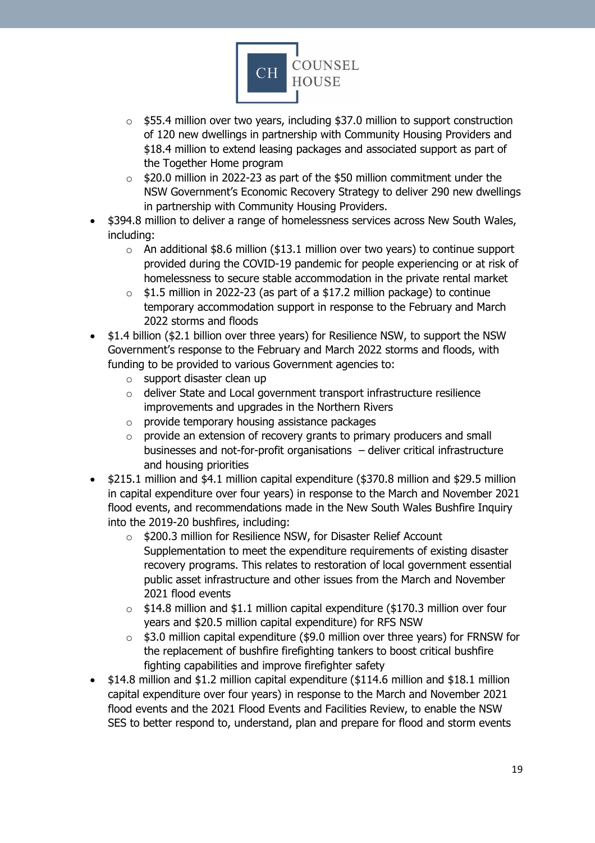

- o \$55.4 million over two years, including \$37.0 million to support construction of 120 new dwellings in partnership with Community Housing Providers and \$18.4 million to extend leasing packages and associated support as part of the Together Home program
- o \$20.0 million in 2022-23 as part of the \$50 million commitment under the NSW Government's Economic Recovery Strategy to deliver 290 new dwellings in partnership with Community Housing Providers.
- \$394.8 million to deliver a range of homelessness services across New South Wales, including:
	- $\circ$  An additional \$8.6 million (\$13.1 million over two years) to continue support provided during the COVID-19 pandemic for people experiencing or at risk of homelessness to secure stable accommodation in the private rental market
	- o \$1.5 million in 2022-23 (as part of a \$17.2 million package) to continue temporary accommodation support in response to the February and March 2022 storms and floods
- \$1.4 billion (\$2.1 billion over three years) for Resilience NSW, to support the NSW Government's response to the February and March 2022 storms and floods, with funding to be provided to various Government agencies to:
	- o support disaster clean up
	- o deliver State and Local government transport infrastructure resilience improvements and upgrades in the Northern Rivers
	- o provide temporary housing assistance packages
	- o provide an extension of recovery grants to primary producers and small businesses and not-for-profit organisations – deliver critical infrastructure and housing priorities
- \$215.1 million and \$4.1 million capital expenditure (\$370.8 million and \$29.5 million in capital expenditure over four years) in response to the March and November 2021 flood events, and recommendations made in the New South Wales Bushfire Inquiry into the 2019-20 bushfires, including:
	- o \$200.3 million for Resilience NSW, for Disaster Relief Account Supplementation to meet the expenditure requirements of existing disaster recovery programs. This relates to restoration of local government essential public asset infrastructure and other issues from the March and November 2021 flood events
	- $\circ$  \$14.8 million and \$1.1 million capital expenditure (\$170.3 million over four years and \$20.5 million capital expenditure) for RFS NSW
	- $\circ$  \$3.0 million capital expenditure (\$9.0 million over three years) for FRNSW for the replacement of bushfire firefighting tankers to boost critical bushfire fighting capabilities and improve firefighter safety
- \$14.8 million and \$1.2 million capital expenditure (\$114.6 million and \$18.1 million capital expenditure over four years) in response to the March and November 2021 flood events and the 2021 Flood Events and Facilities Review, to enable the NSW SES to better respond to, understand, plan and prepare for flood and storm events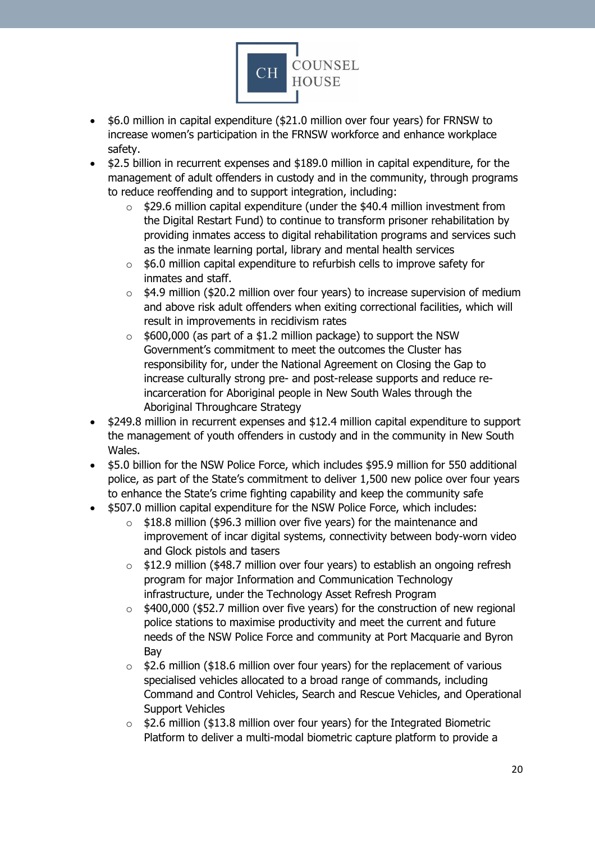

- \$6.0 million in capital expenditure (\$21.0 million over four years) for FRNSW to increase women's participation in the FRNSW workforce and enhance workplace safety.
- \$2.5 billion in recurrent expenses and \$189.0 million in capital expenditure, for the management of adult offenders in custody and in the community, through programs to reduce reoffending and to support integration, including:
	- o \$29.6 million capital expenditure (under the \$40.4 million investment from the Digital Restart Fund) to continue to transform prisoner rehabilitation by providing inmates access to digital rehabilitation programs and services such as the inmate learning portal, library and mental health services
	- $\circ$  \$6.0 million capital expenditure to refurbish cells to improve safety for inmates and staff.
	- o \$4.9 million (\$20.2 million over four years) to increase supervision of medium and above risk adult offenders when exiting correctional facilities, which will result in improvements in recidivism rates
	- $\circ$  \$600,000 (as part of a \$1.2 million package) to support the NSW Government's commitment to meet the outcomes the Cluster has responsibility for, under the National Agreement on Closing the Gap to increase culturally strong pre- and post-release supports and reduce reincarceration for Aboriginal people in New South Wales through the Aboriginal Throughcare Strategy
- \$249.8 million in recurrent expenses and \$12.4 million capital expenditure to support the management of youth offenders in custody and in the community in New South Wales.
- \$5.0 billion for the NSW Police Force, which includes \$95.9 million for 550 additional police, as part of the State's commitment to deliver 1,500 new police over four years to enhance the State's crime fighting capability and keep the community safe
- \$507.0 million capital expenditure for the NSW Police Force, which includes:
	- $\circ$  \$18.8 million (\$96.3 million over five years) for the maintenance and improvement of incar digital systems, connectivity between body-worn video and Glock pistols and tasers
	- o \$12.9 million (\$48.7 million over four years) to establish an ongoing refresh program for major Information and Communication Technology infrastructure, under the Technology Asset Refresh Program
	- \$400,000 (\$52.7 million over five years) for the construction of new regional police stations to maximise productivity and meet the current and future needs of the NSW Police Force and community at Port Macquarie and Byron Bay
	- $\circ$  \$2.6 million (\$18.6 million over four years) for the replacement of various specialised vehicles allocated to a broad range of commands, including Command and Control Vehicles, Search and Rescue Vehicles, and Operational Support Vehicles
	- $\circ$  \$2.6 million (\$13.8 million over four years) for the Integrated Biometric Platform to deliver a multi‐modal biometric capture platform to provide a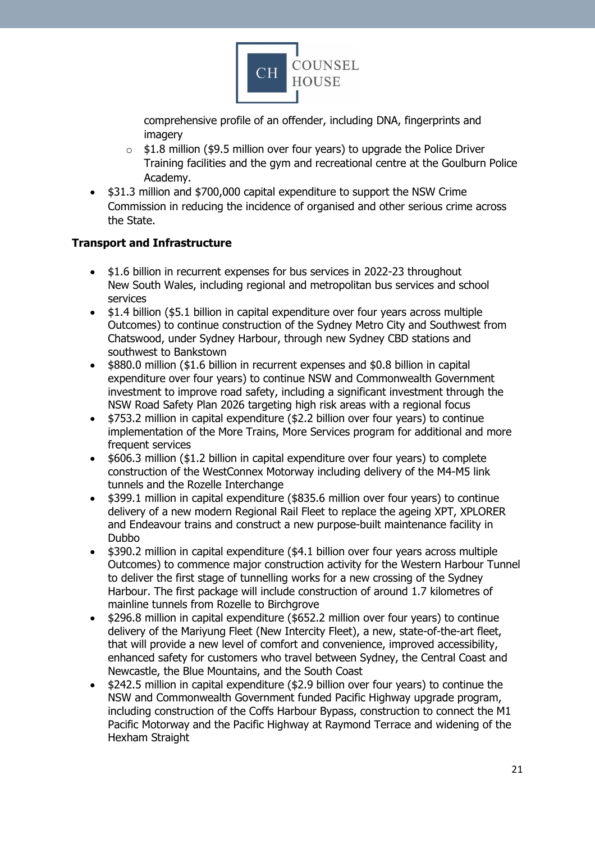

comprehensive profile of an offender, including DNA, fingerprints and imagery

- $\circ$  \$1.8 million (\$9.5 million over four years) to upgrade the Police Driver Training facilities and the gym and recreational centre at the Goulburn Police Academy.
- \$31.3 million and \$700,000 capital expenditure to support the NSW Crime Commission in reducing the incidence of organised and other serious crime across the State.

## <span id="page-20-0"></span>**Transport and Infrastructure**

- \$1.6 billion in recurrent expenses for bus services in 2022-23 throughout New South Wales, including regional and metropolitan bus services and school services
- \$1.4 billion (\$5.1 billion in capital expenditure over four years across multiple Outcomes) to continue construction of the Sydney Metro City and Southwest from Chatswood, under Sydney Harbour, through new Sydney CBD stations and southwest to Bankstown
- \$880.0 million (\$1.6 billion in recurrent expenses and \$0.8 billion in capital expenditure over four years) to continue NSW and Commonwealth Government investment to improve road safety, including a significant investment through the NSW Road Safety Plan 2026 targeting high risk areas with a regional focus
- \$753.2 million in capital expenditure (\$2.2 billion over four years) to continue implementation of the More Trains, More Services program for additional and more frequent services
- \$606.3 million (\$1.2 billion in capital expenditure over four years) to complete construction of the WestConnex Motorway including delivery of the M4-M5 link tunnels and the Rozelle Interchange
- \$399.1 million in capital expenditure (\$835.6 million over four years) to continue delivery of a new modern Regional Rail Fleet to replace the ageing XPT, XPLORER and Endeavour trains and construct a new purpose-built maintenance facility in Dubbo
- \$390.2 million in capital expenditure (\$4.1 billion over four years across multiple Outcomes) to commence major construction activity for the Western Harbour Tunnel to deliver the first stage of tunnelling works for a new crossing of the Sydney Harbour. The first package will include construction of around 1.7 kilometres of mainline tunnels from Rozelle to Birchgrove
- \$296.8 million in capital expenditure (\$652.2 million over four years) to continue delivery of the Mariyung Fleet (New Intercity Fleet), a new, state-of-the-art fleet, that will provide a new level of comfort and convenience, improved accessibility, enhanced safety for customers who travel between Sydney, the Central Coast and Newcastle, the Blue Mountains, and the South Coast
- \$242.5 million in capital expenditure (\$2.9 billion over four years) to continue the NSW and Commonwealth Government funded Pacific Highway upgrade program, including construction of the Coffs Harbour Bypass, construction to connect the M1 Pacific Motorway and the Pacific Highway at Raymond Terrace and widening of the Hexham Straight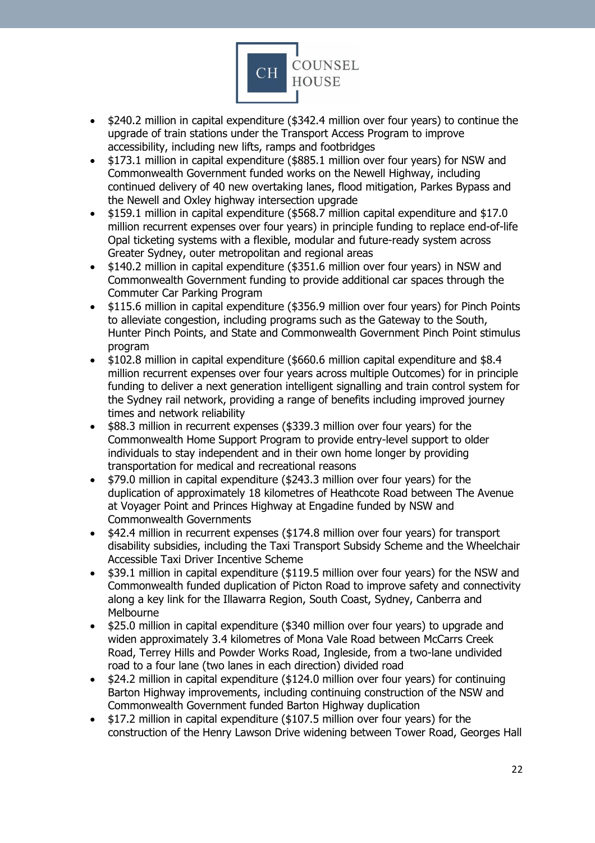

- \$240.2 million in capital expenditure (\$342.4 million over four years) to continue the upgrade of train stations under the Transport Access Program to improve accessibility, including new lifts, ramps and footbridges
- \$173.1 million in capital expenditure (\$885.1 million over four years) for NSW and Commonwealth Government funded works on the Newell Highway, including continued delivery of 40 new overtaking lanes, flood mitigation, Parkes Bypass and the Newell and Oxley highway intersection upgrade
- \$159.1 million in capital expenditure (\$568.7 million capital expenditure and \$17.0 million recurrent expenses over four years) in principle funding to replace end-of-life Opal ticketing systems with a flexible, modular and future-ready system across Greater Sydney, outer metropolitan and regional areas
- \$140.2 million in capital expenditure (\$351.6 million over four years) in NSW and Commonwealth Government funding to provide additional car spaces through the Commuter Car Parking Program
- \$115.6 million in capital expenditure (\$356.9 million over four years) for Pinch Points to alleviate congestion, including programs such as the Gateway to the South, Hunter Pinch Points, and State and Commonwealth Government Pinch Point stimulus program
- \$102.8 million in capital expenditure (\$660.6 million capital expenditure and \$8.4 million recurrent expenses over four years across multiple Outcomes) for in principle funding to deliver a next generation intelligent signalling and train control system for the Sydney rail network, providing a range of benefits including improved journey times and network reliability
- \$88.3 million in recurrent expenses (\$339.3 million over four years) for the Commonwealth Home Support Program to provide entry-level support to older individuals to stay independent and in their own home longer by providing transportation for medical and recreational reasons
- \$79.0 million in capital expenditure (\$243.3 million over four years) for the duplication of approximately 18 kilometres of Heathcote Road between The Avenue at Voyager Point and Princes Highway at Engadine funded by NSW and Commonwealth Governments
- \$42.4 million in recurrent expenses (\$174.8 million over four years) for transport disability subsidies, including the Taxi Transport Subsidy Scheme and the Wheelchair Accessible Taxi Driver Incentive Scheme
- \$39.1 million in capital expenditure (\$119.5 million over four years) for the NSW and Commonwealth funded duplication of Picton Road to improve safety and connectivity along a key link for the Illawarra Region, South Coast, Sydney, Canberra and Melbourne
- \$25.0 million in capital expenditure (\$340 million over four years) to upgrade and widen approximately 3.4 kilometres of Mona Vale Road between McCarrs Creek Road, Terrey Hills and Powder Works Road, Ingleside, from a two-lane undivided road to a four lane (two lanes in each direction) divided road
- \$24.2 million in capital expenditure (\$124.0 million over four years) for continuing Barton Highway improvements, including continuing construction of the NSW and Commonwealth Government funded Barton Highway duplication
- \$17.2 million in capital expenditure (\$107.5 million over four years) for the construction of the Henry Lawson Drive widening between Tower Road, Georges Hall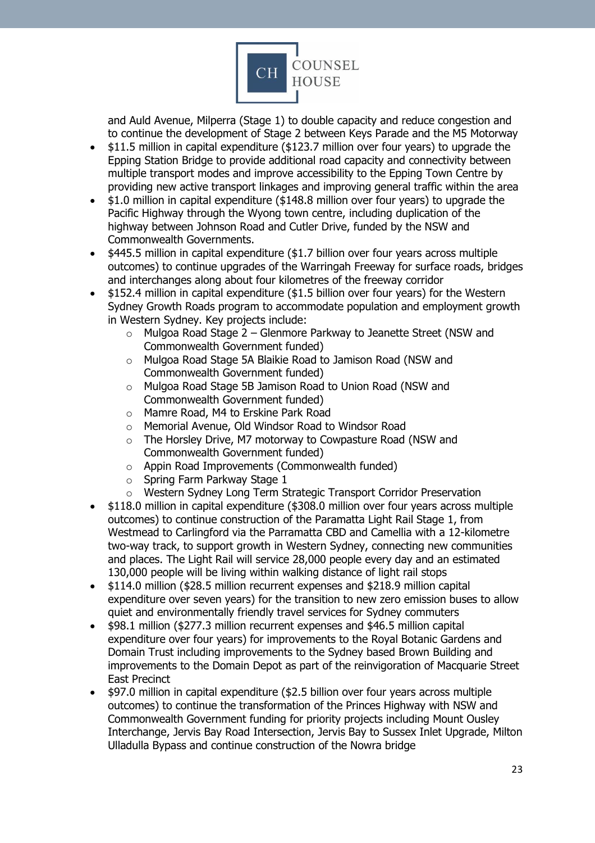

and Auld Avenue, Milperra (Stage 1) to double capacity and reduce congestion and to continue the development of Stage 2 between Keys Parade and the M5 Motorway

- \$11.5 million in capital expenditure (\$123.7 million over four years) to upgrade the Epping Station Bridge to provide additional road capacity and connectivity between multiple transport modes and improve accessibility to the Epping Town Centre by providing new active transport linkages and improving general traffic within the area
- \$1.0 million in capital expenditure (\$148.8 million over four years) to upgrade the Pacific Highway through the Wyong town centre, including duplication of the highway between Johnson Road and Cutler Drive, funded by the NSW and Commonwealth Governments.
- \$445.5 million in capital expenditure (\$1.7 billion over four years across multiple outcomes) to continue upgrades of the Warringah Freeway for surface roads, bridges and interchanges along about four kilometres of the freeway corridor
- \$152.4 million in capital expenditure (\$1.5 billion over four years) for the Western Sydney Growth Roads program to accommodate population and employment growth in Western Sydney. Key projects include:
	- $\circ$  Mulgoa Road Stage 2 Glenmore Parkway to Jeanette Street (NSW and Commonwealth Government funded)
	- o Mulgoa Road Stage 5A Blaikie Road to Jamison Road (NSW and Commonwealth Government funded)
	- o Mulgoa Road Stage 5B Jamison Road to Union Road (NSW and Commonwealth Government funded)
	- o Mamre Road, M4 to Erskine Park Road
	- o Memorial Avenue, Old Windsor Road to Windsor Road
	- o The Horsley Drive, M7 motorway to Cowpasture Road (NSW and Commonwealth Government funded)
	- o Appin Road Improvements (Commonwealth funded)
	- o Spring Farm Parkway Stage 1
	- o Western Sydney Long Term Strategic Transport Corridor Preservation
- \$118.0 million in capital expenditure (\$308.0 million over four years across multiple outcomes) to continue construction of the Paramatta Light Rail Stage 1, from Westmead to Carlingford via the Parramatta CBD and Camellia with a 12-kilometre two-way track, to support growth in Western Sydney, connecting new communities and places. The Light Rail will service 28,000 people every day and an estimated 130,000 people will be living within walking distance of light rail stops
- \$114.0 million (\$28.5 million recurrent expenses and \$218.9 million capital expenditure over seven years) for the transition to new zero emission buses to allow quiet and environmentally friendly travel services for Sydney commuters
- \$98.1 million (\$277.3 million recurrent expenses and \$46.5 million capital expenditure over four years) for improvements to the Royal Botanic Gardens and Domain Trust including improvements to the Sydney based Brown Building and improvements to the Domain Depot as part of the reinvigoration of Macquarie Street East Precinct
- \$97.0 million in capital expenditure (\$2.5 billion over four years across multiple outcomes) to continue the transformation of the Princes Highway with NSW and Commonwealth Government funding for priority projects including Mount Ousley Interchange, Jervis Bay Road Intersection, Jervis Bay to Sussex Inlet Upgrade, Milton Ulladulla Bypass and continue construction of the Nowra bridge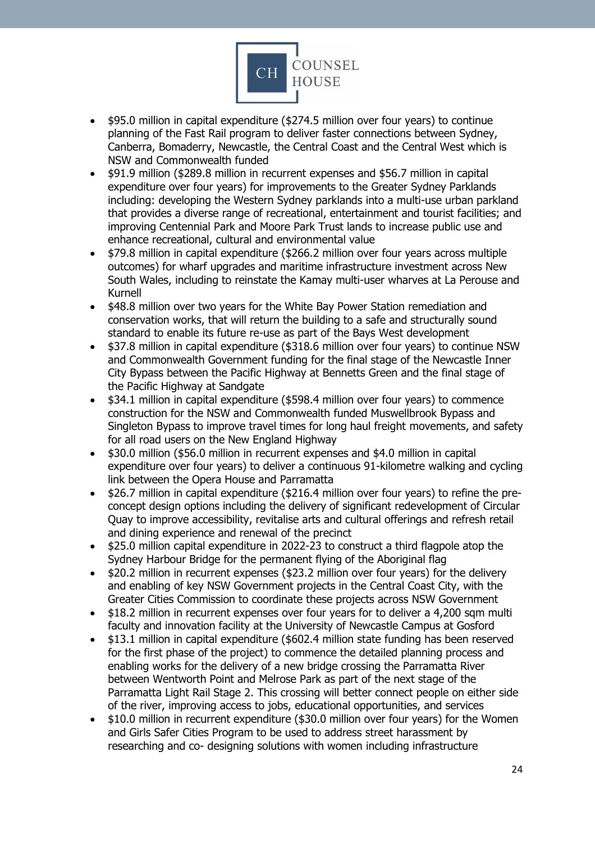

- \$95.0 million in capital expenditure (\$274.5 million over four years) to continue planning of the Fast Rail program to deliver faster connections between Sydney, Canberra, Bomaderry, Newcastle, the Central Coast and the Central West which is NSW and Commonwealth funded
- \$91.9 million (\$289.8 million in recurrent expenses and \$56.7 million in capital expenditure over four years) for improvements to the Greater Sydney Parklands including: developing the Western Sydney parklands into a multi-use urban parkland that provides a diverse range of recreational, entertainment and tourist facilities; and improving Centennial Park and Moore Park Trust lands to increase public use and enhance recreational, cultural and environmental value
- \$79.8 million in capital expenditure (\$266.2 million over four years across multiple outcomes) for wharf upgrades and maritime infrastructure investment across New South Wales, including to reinstate the Kamay multi-user wharves at La Perouse and Kurnell
- \$48.8 million over two years for the White Bay Power Station remediation and conservation works, that will return the building to a safe and structurally sound standard to enable its future re-use as part of the Bays West development
- \$37.8 million in capital expenditure (\$318.6 million over four years) to continue NSW and Commonwealth Government funding for the final stage of the Newcastle Inner City Bypass between the Pacific Highway at Bennetts Green and the final stage of the Pacific Highway at Sandgate
- \$34.1 million in capital expenditure (\$598.4 million over four years) to commence construction for the NSW and Commonwealth funded Muswellbrook Bypass and Singleton Bypass to improve travel times for long haul freight movements, and safety for all road users on the New England Highway
- \$30.0 million (\$56.0 million in recurrent expenses and \$4.0 million in capital expenditure over four years) to deliver a continuous 91-kilometre walking and cycling link between the Opera House and Parramatta
- \$26.7 million in capital expenditure (\$216.4 million over four years) to refine the preconcept design options including the delivery of significant redevelopment of Circular Quay to improve accessibility, revitalise arts and cultural offerings and refresh retail and dining experience and renewal of the precinct
- \$25.0 million capital expenditure in 2022-23 to construct a third flagpole atop the Sydney Harbour Bridge for the permanent flying of the Aboriginal flag
- \$20.2 million in recurrent expenses (\$23.2 million over four years) for the delivery and enabling of key NSW Government projects in the Central Coast City, with the Greater Cities Commission to coordinate these projects across NSW Government
- \$18.2 million in recurrent expenses over four years for to deliver a 4,200 sqm multi faculty and innovation facility at the University of Newcastle Campus at Gosford
- \$13.1 million in capital expenditure (\$602.4 million state funding has been reserved for the first phase of the project) to commence the detailed planning process and enabling works for the delivery of a new bridge crossing the Parramatta River between Wentworth Point and Melrose Park as part of the next stage of the Parramatta Light Rail Stage 2. This crossing will better connect people on either side of the river, improving access to jobs, educational opportunities, and services
- \$10.0 million in recurrent expenditure (\$30.0 million over four years) for the Women and Girls Safer Cities Program to be used to address street harassment by researching and co- designing solutions with women including infrastructure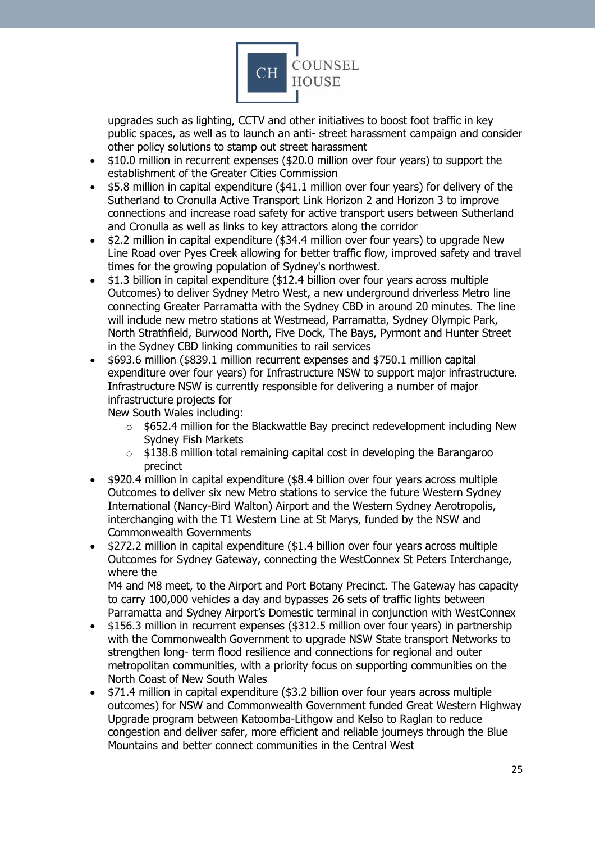

upgrades such as lighting, CCTV and other initiatives to boost foot traffic in key public spaces, as well as to launch an anti- street harassment campaign and consider other policy solutions to stamp out street harassment

- \$10.0 million in recurrent expenses (\$20.0 million over four years) to support the establishment of the Greater Cities Commission
- \$5.8 million in capital expenditure (\$41.1 million over four years) for delivery of the Sutherland to Cronulla Active Transport Link Horizon 2 and Horizon 3 to improve connections and increase road safety for active transport users between Sutherland and Cronulla as well as links to key attractors along the corridor
- \$2.2 million in capital expenditure (\$34.4 million over four years) to upgrade New Line Road over Pyes Creek allowing for better traffic flow, improved safety and travel times for the growing population of Sydney's northwest.
- \$1.3 billion in capital expenditure (\$12.4 billion over four years across multiple Outcomes) to deliver Sydney Metro West, a new underground driverless Metro line connecting Greater Parramatta with the Sydney CBD in around 20 minutes. The line will include new metro stations at Westmead, Parramatta, Sydney Olympic Park, North Strathfield, Burwood North, Five Dock, The Bays, Pyrmont and Hunter Street in the Sydney CBD linking communities to rail services
- \$693.6 million (\$839.1 million recurrent expenses and \$750.1 million capital expenditure over four years) for Infrastructure NSW to support major infrastructure. Infrastructure NSW is currently responsible for delivering a number of major infrastructure projects for

New South Wales including:

- o \$652.4 million for the Blackwattle Bay precinct redevelopment including New Sydney Fish Markets
- $\circ$  \$138.8 million total remaining capital cost in developing the Barangaroo precinct
- \$920.4 million in capital expenditure (\$8.4 billion over four years across multiple Outcomes to deliver six new Metro stations to service the future Western Sydney International (Nancy-Bird Walton) Airport and the Western Sydney Aerotropolis, interchanging with the T1 Western Line at St Marys, funded by the NSW and Commonwealth Governments
- \$272.2 million in capital expenditure (\$1.4 billion over four years across multiple Outcomes for Sydney Gateway, connecting the WestConnex St Peters Interchange, where the

M4 and M8 meet, to the Airport and Port Botany Precinct. The Gateway has capacity to carry 100,000 vehicles a day and bypasses 26 sets of traffic lights between Parramatta and Sydney Airport's Domestic terminal in conjunction with WestConnex

- \$156.3 million in recurrent expenses (\$312.5 million over four years) in partnership with the Commonwealth Government to upgrade NSW State transport Networks to strengthen long- term flood resilience and connections for regional and outer metropolitan communities, with a priority focus on supporting communities on the North Coast of New South Wales
- \$71.4 million in capital expenditure (\$3.2 billion over four years across multiple outcomes) for NSW and Commonwealth Government funded Great Western Highway Upgrade program between Katoomba-Lithgow and Kelso to Raglan to reduce congestion and deliver safer, more efficient and reliable journeys through the Blue Mountains and better connect communities in the Central West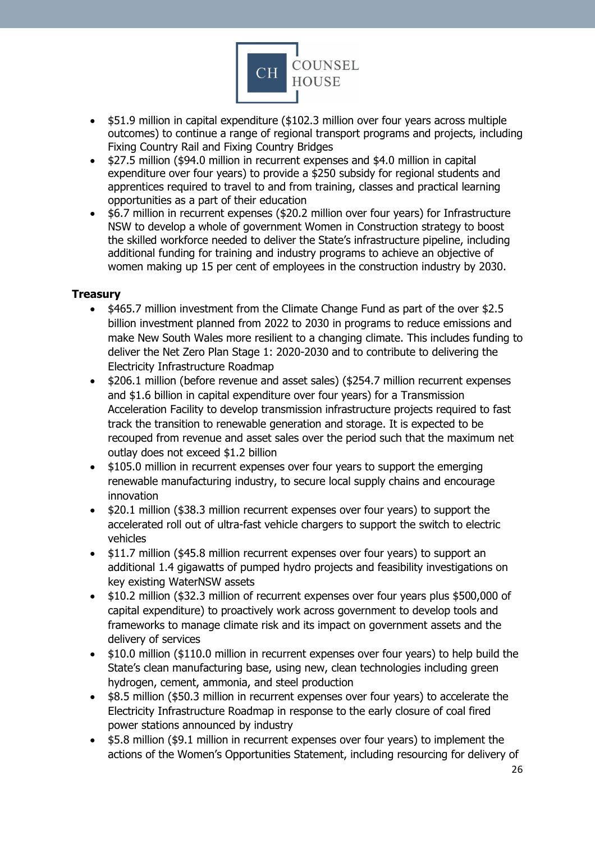

- \$51.9 million in capital expenditure (\$102.3 million over four years across multiple outcomes) to continue a range of regional transport programs and projects, including Fixing Country Rail and Fixing Country Bridges
- \$27.5 million (\$94.0 million in recurrent expenses and \$4.0 million in capital expenditure over four years) to provide a \$250 subsidy for regional students and apprentices required to travel to and from training, classes and practical learning opportunities as a part of their education
- \$6.7 million in recurrent expenses (\$20.2 million over four years) for Infrastructure NSW to develop a whole of government Women in Construction strategy to boost the skilled workforce needed to deliver the State's infrastructure pipeline, including additional funding for training and industry programs to achieve an objective of women making up 15 per cent of employees in the construction industry by 2030.

## <span id="page-25-0"></span>**Treasury**

- \$465.7 million investment from the Climate Change Fund as part of the over \$2.5 billion investment planned from 2022 to 2030 in programs to reduce emissions and make New South Wales more resilient to a changing climate. This includes funding to deliver the Net Zero Plan Stage 1: 2020-2030 and to contribute to delivering the Electricity Infrastructure Roadmap
- \$206.1 million (before revenue and asset sales) (\$254.7 million recurrent expenses and \$1.6 billion in capital expenditure over four years) for a Transmission Acceleration Facility to develop transmission infrastructure projects required to fast track the transition to renewable generation and storage. It is expected to be recouped from revenue and asset sales over the period such that the maximum net outlay does not exceed \$1.2 billion
- \$105.0 million in recurrent expenses over four years to support the emerging renewable manufacturing industry, to secure local supply chains and encourage innovation
- \$20.1 million (\$38.3 million recurrent expenses over four years) to support the accelerated roll out of ultra-fast vehicle chargers to support the switch to electric vehicles
- \$11.7 million (\$45.8 million recurrent expenses over four years) to support an additional 1.4 gigawatts of pumped hydro projects and feasibility investigations on key existing WaterNSW assets
- \$10.2 million (\$32.3 million of recurrent expenses over four years plus \$500,000 of capital expenditure) to proactively work across government to develop tools and frameworks to manage climate risk and its impact on government assets and the delivery of services
- \$10.0 million (\$110.0 million in recurrent expenses over four years) to help build the State's clean manufacturing base, using new, clean technologies including green hydrogen, cement, ammonia, and steel production
- \$8.5 million (\$50.3 million in recurrent expenses over four years) to accelerate the Electricity Infrastructure Roadmap in response to the early closure of coal fired power stations announced by industry
- \$5.8 million (\$9.1 million in recurrent expenses over four years) to implement the actions of the Women's Opportunities Statement, including resourcing for delivery of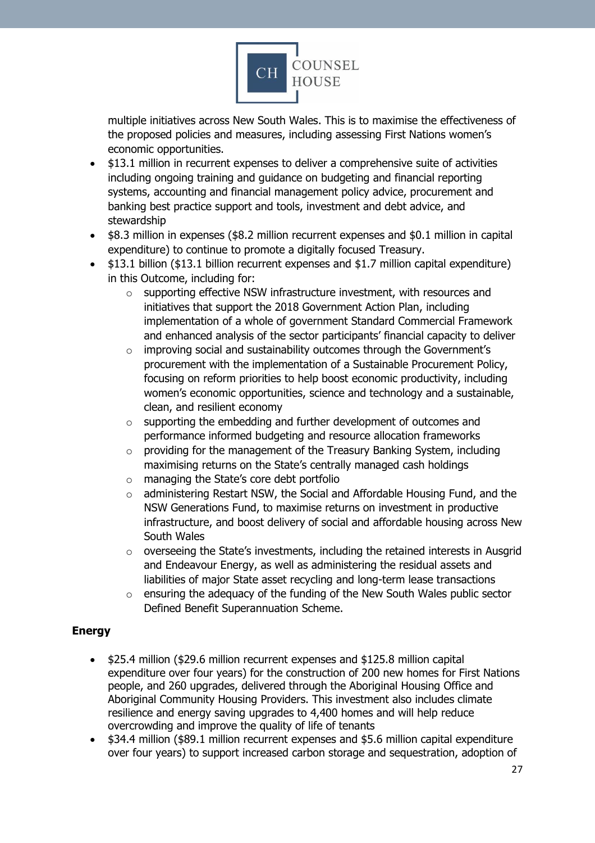

multiple initiatives across New South Wales. This is to maximise the effectiveness of the proposed policies and measures, including assessing First Nations women's economic opportunities.

- \$13.1 million in recurrent expenses to deliver a comprehensive suite of activities including ongoing training and guidance on budgeting and financial reporting systems, accounting and financial management policy advice, procurement and banking best practice support and tools, investment and debt advice, and stewardship
- \$8.3 million in expenses (\$8.2 million recurrent expenses and \$0.1 million in capital expenditure) to continue to promote a digitally focused Treasury.
- \$13.1 billion (\$13.1 billion recurrent expenses and \$1.7 million capital expenditure) in this Outcome, including for:
	- o supporting effective NSW infrastructure investment, with resources and initiatives that support the 2018 Government Action Plan, including implementation of a whole of government Standard Commercial Framework and enhanced analysis of the sector participants' financial capacity to deliver
	- o improving social and sustainability outcomes through the Government's procurement with the implementation of a Sustainable Procurement Policy, focusing on reform priorities to help boost economic productivity, including women's economic opportunities, science and technology and a sustainable, clean, and resilient economy
	- o supporting the embedding and further development of outcomes and performance informed budgeting and resource allocation frameworks
	- o providing for the management of the Treasury Banking System, including maximising returns on the State's centrally managed cash holdings
	- o managing the State's core debt portfolio
	- $\circ$  administering Restart NSW, the Social and Affordable Housing Fund, and the NSW Generations Fund, to maximise returns on investment in productive infrastructure, and boost delivery of social and affordable housing across New South Wales
	- o overseeing the State's investments, including the retained interests in Ausgrid and Endeavour Energy, as well as administering the residual assets and liabilities of major State asset recycling and long-term lease transactions
	- o ensuring the adequacy of the funding of the New South Wales public sector Defined Benefit Superannuation Scheme.

# <span id="page-26-0"></span>**Energy**

- \$25.4 million (\$29.6 million recurrent expenses and \$125.8 million capital expenditure over four years) for the construction of 200 new homes for First Nations people, and 260 upgrades, delivered through the Aboriginal Housing Office and Aboriginal Community Housing Providers. This investment also includes climate resilience and energy saving upgrades to 4,400 homes and will help reduce overcrowding and improve the quality of life of tenants
- \$34.4 million (\$89.1 million recurrent expenses and \$5.6 million capital expenditure over four years) to support increased carbon storage and sequestration, adoption of